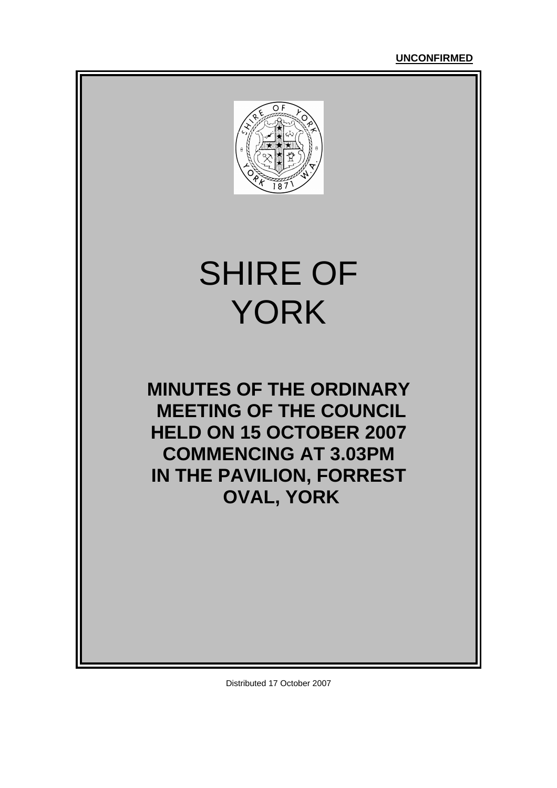

# SHIRE OF YORK

**MINUTES OF THE ORDINARY MEETING OF THE COUNCIL HELD ON 15 OCTOBER 2007 COMMENCING AT 3.03PM IN THE PAVILION, FORREST OVAL, YORK** 

Distributed 17 October 2007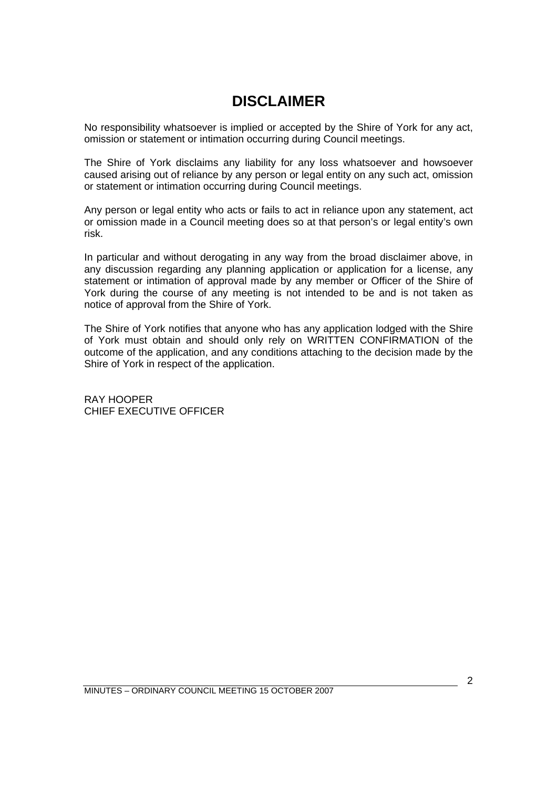### **DISCLAIMER**

No responsibility whatsoever is implied or accepted by the Shire of York for any act, omission or statement or intimation occurring during Council meetings.

The Shire of York disclaims any liability for any loss whatsoever and howsoever caused arising out of reliance by any person or legal entity on any such act, omission or statement or intimation occurring during Council meetings.

Any person or legal entity who acts or fails to act in reliance upon any statement, act or omission made in a Council meeting does so at that person's or legal entity's own risk.

In particular and without derogating in any way from the broad disclaimer above, in any discussion regarding any planning application or application for a license, any statement or intimation of approval made by any member or Officer of the Shire of York during the course of any meeting is not intended to be and is not taken as notice of approval from the Shire of York.

The Shire of York notifies that anyone who has any application lodged with the Shire of York must obtain and should only rely on WRITTEN CONFIRMATION of the outcome of the application, and any conditions attaching to the decision made by the Shire of York in respect of the application.

RAY HOOPER CHIEF EXECUTIVE OFFICER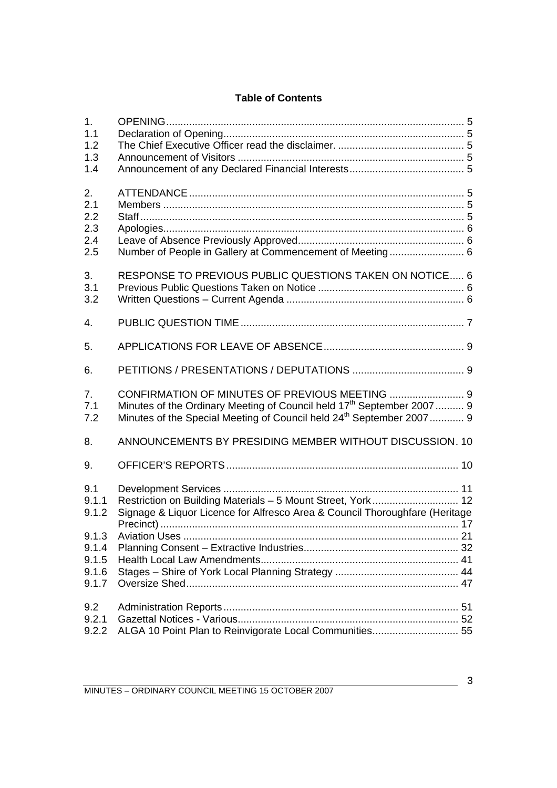#### **Table of Contents**

| 1.<br>1.1<br>1.2<br>1.3<br>1.4                   |                                                                                                                                                                                                                         |  |
|--------------------------------------------------|-------------------------------------------------------------------------------------------------------------------------------------------------------------------------------------------------------------------------|--|
| 2.<br>2.1<br>2.2<br>2.3<br>2.4<br>2.5            | Number of People in Gallery at Commencement of Meeting 6                                                                                                                                                                |  |
| 3.<br>3.1<br>3.2                                 | RESPONSE TO PREVIOUS PUBLIC QUESTIONS TAKEN ON NOTICE 6                                                                                                                                                                 |  |
| $\overline{4}$ .                                 |                                                                                                                                                                                                                         |  |
| 5.                                               |                                                                                                                                                                                                                         |  |
| 6.                                               |                                                                                                                                                                                                                         |  |
| 7.<br>7.1<br>7.2                                 | CONFIRMATION OF MINUTES OF PREVIOUS MEETING  9<br>Minutes of the Ordinary Meeting of Council held 17 <sup>th</sup> September 2007 9<br>Minutes of the Special Meeting of Council held 24 <sup>th</sup> September 2007 9 |  |
| 8.                                               | ANNOUNCEMENTS BY PRESIDING MEMBER WITHOUT DISCUSSION. 10                                                                                                                                                                |  |
| 9.                                               |                                                                                                                                                                                                                         |  |
| 9.1<br>9.1.1<br>9.1.2<br>9.1.3<br>9.1.4<br>9.1.5 | Signage & Liquor Licence for Alfresco Area & Council Thoroughfare (Heritage                                                                                                                                             |  |
| 9.1.6<br>9.1.7                                   |                                                                                                                                                                                                                         |  |
| 9.2<br>9.2.1<br>9.2.2                            | ALGA 10 Point Plan to Reinvigorate Local Communities 55                                                                                                                                                                 |  |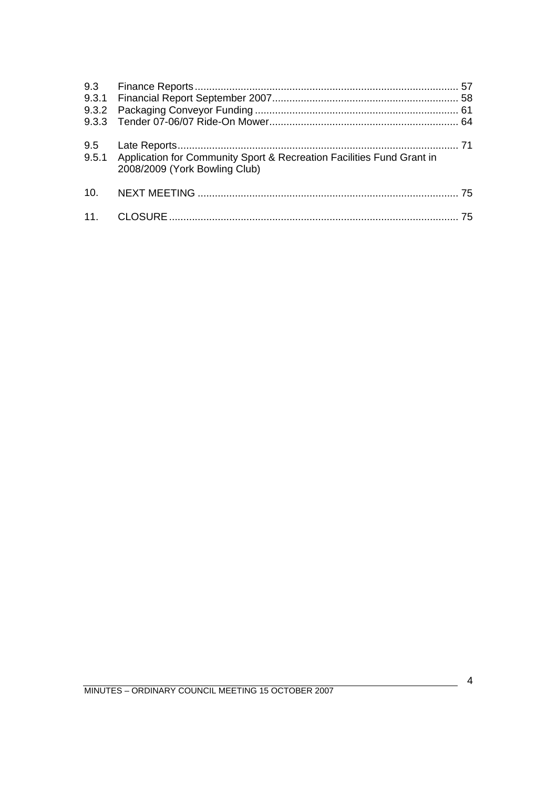| 9.5.1 Application for Community Sport & Recreation Facilities Fund Grant in<br>2008/2009 (York Bowling Club) |  |
|--------------------------------------------------------------------------------------------------------------|--|
|                                                                                                              |  |
|                                                                                                              |  |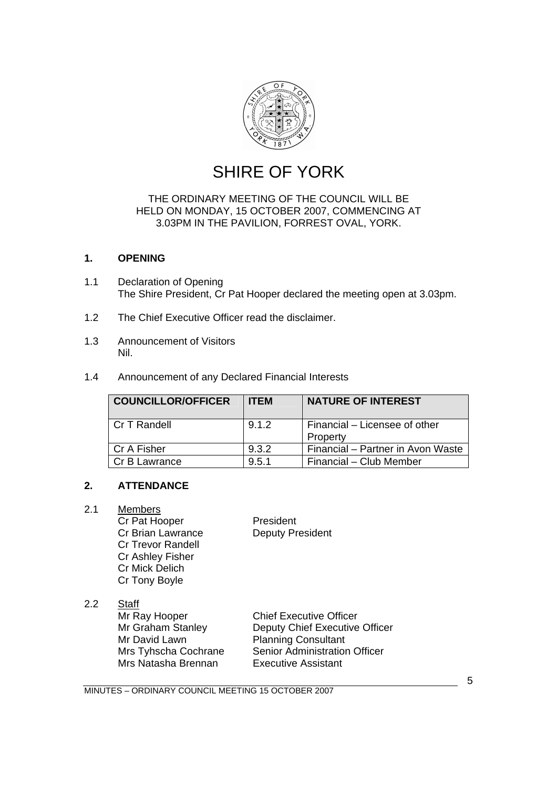

## SHIRE OF YORK

#### <span id="page-4-0"></span>THE ORDINARY MEETING OF THE COUNCIL WILL BE HELD ON MONDAY, 15 OCTOBER 2007, COMMENCING AT 3.03PM IN THE PAVILION, FORREST OVAL, YORK.

#### **1. OPENING**

- 1.1 Declaration of Opening The Shire President, Cr Pat Hooper declared the meeting open at 3.03pm.
- 1.2 The Chief Executive Officer read the disclaimer.
- 1.3 Announcement of Visitors Nil.
- 1.4 Announcement of any Declared Financial Interests

| <b>COUNCILLOR/OFFICER</b> | <b>ITEM</b> | <b>NATURE OF INTEREST</b>                 |
|---------------------------|-------------|-------------------------------------------|
| l Cr T Randell            | 9.1.2       | Financial - Licensee of other<br>Property |
| l Cr A Fisher             | 9.3.2       | Financial - Partner in Avon Waste         |
| Cr B Lawrance             | 9.5.1       | Financial - Club Member                   |

#### **2. ATTENDANCE**

#### 2.1 Members

Cr Pat Hooper President Cr Brian Lawrance Deputy President Cr Trevor Randell Cr Ashley Fisher Cr Mick Delich Cr Tony Boyle

#### 2.2 Staff

Mr Ray Hooper Chief Executive Officer Mr David Lawn Planning Consultant<br>
Mrs Tyhscha Cochrane Senior Administration Mrs Natasha Brennan

Mr Graham Stanley **Deputy Chief Executive Officer** Senior Administration Officer<br>Executive Assistant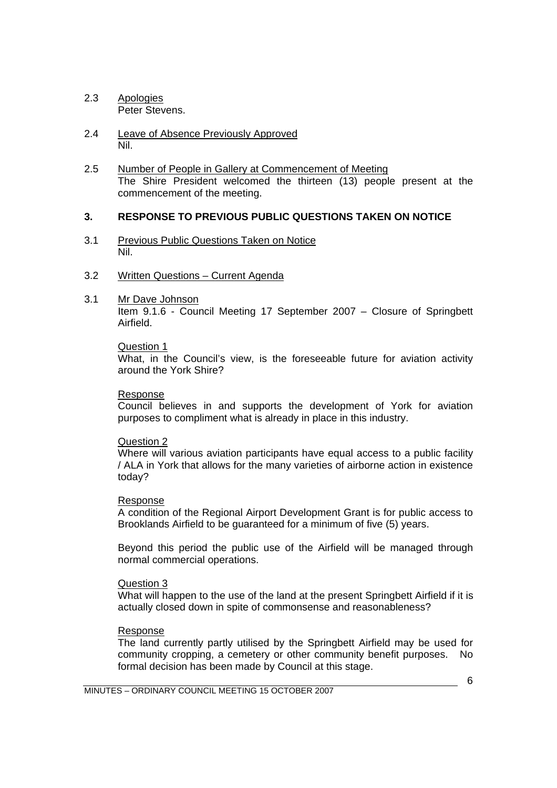- <span id="page-5-0"></span>2.3 Apologies Peter Stevens.
- 2.4 Leave of Absence Previously Approved Nil.
- 2.5 Number of People in Gallery at Commencement of Meeting The Shire President welcomed the thirteen (13) people present at the commencement of the meeting.

#### **3. RESPONSE TO PREVIOUS PUBLIC QUESTIONS TAKEN ON NOTICE**

- 3.1 Previous Public Questions Taken on Notice Nil.
- 3.2 Written Questions Current Agenda
- 3.1 Mr Dave Johnson

 Item 9.1.6 - Council Meeting 17 September 2007 – Closure of Springbett Airfield.

#### Question 1

 What, in the Council's view, is the foreseeable future for aviation activity around the York Shire?

#### Response

 Council believes in and supports the development of York for aviation purposes to compliment what is already in place in this industry.

#### Question 2

 Where will various aviation participants have equal access to a public facility / ALA in York that allows for the many varieties of airborne action in existence today?

#### Response

 A condition of the Regional Airport Development Grant is for public access to Brooklands Airfield to be guaranteed for a minimum of five (5) years.

 Beyond this period the public use of the Airfield will be managed through normal commercial operations.

#### Question 3

 What will happen to the use of the land at the present Springbett Airfield if it is actually closed down in spite of commonsense and reasonableness?

#### Response

 The land currently partly utilised by the Springbett Airfield may be used for community cropping, a cemetery or other community benefit purposes. No formal decision has been made by Council at this stage.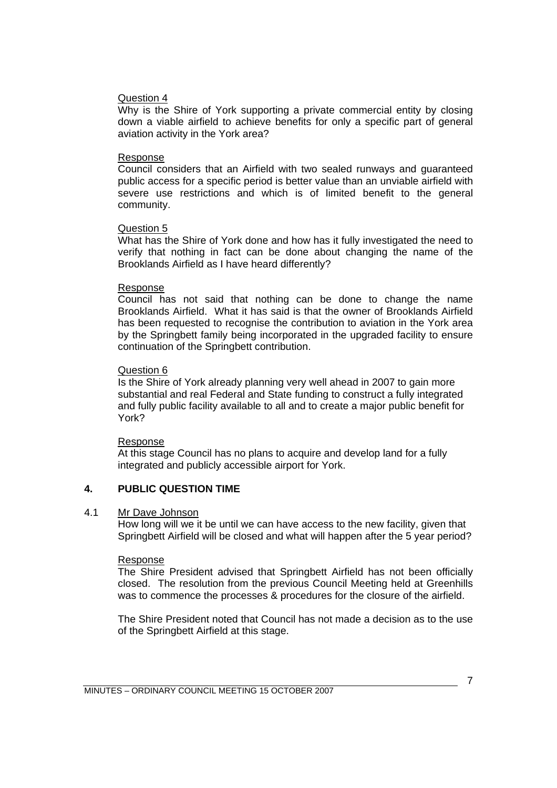#### <span id="page-6-0"></span>Question 4

 Why is the Shire of York supporting a private commercial entity by closing down a viable airfield to achieve benefits for only a specific part of general aviation activity in the York area?

#### Response

 Council considers that an Airfield with two sealed runways and guaranteed public access for a specific period is better value than an unviable airfield with severe use restrictions and which is of limited benefit to the general community.

#### Question 5

 What has the Shire of York done and how has it fully investigated the need to verify that nothing in fact can be done about changing the name of the Brooklands Airfield as I have heard differently?

#### Response

 Council has not said that nothing can be done to change the name Brooklands Airfield. What it has said is that the owner of Brooklands Airfield has been requested to recognise the contribution to aviation in the York area by the Springbett family being incorporated in the upgraded facility to ensure continuation of the Springbett contribution.

#### Question 6

 Is the Shire of York already planning very well ahead in 2007 to gain more substantial and real Federal and State funding to construct a fully integrated and fully public facility available to all and to create a major public benefit for York?

#### Response

 At this stage Council has no plans to acquire and develop land for a fully integrated and publicly accessible airport for York.

#### **4. PUBLIC QUESTION TIME**

#### 4.1 Mr Dave Johnson

 How long will we it be until we can have access to the new facility, given that Springbett Airfield will be closed and what will happen after the 5 year period?

#### Response

 The Shire President advised that Springbett Airfield has not been officially closed. The resolution from the previous Council Meeting held at Greenhills was to commence the processes & procedures for the closure of the airfield.

 The Shire President noted that Council has not made a decision as to the use of the Springbett Airfield at this stage.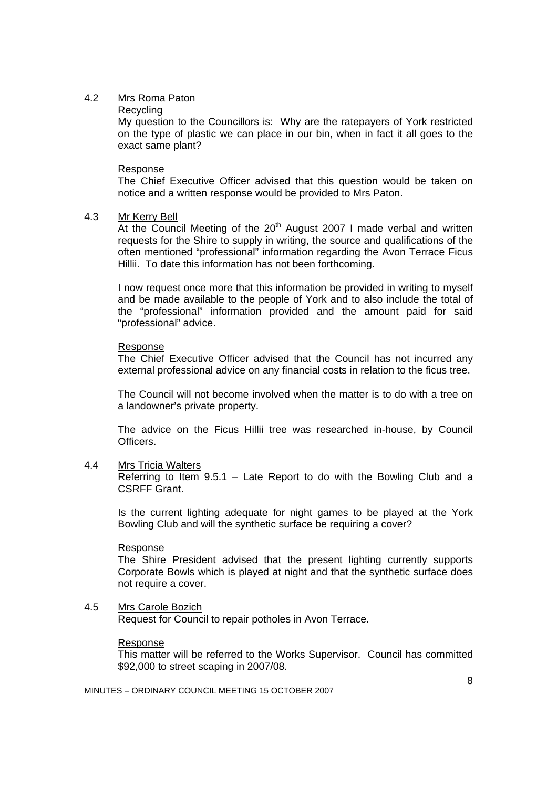#### 4.2 Mrs Roma Paton

#### **Recycling**

 My question to the Councillors is: Why are the ratepayers of York restricted on the type of plastic we can place in our bin, when in fact it all goes to the exact same plant?

#### Response

 The Chief Executive Officer advised that this question would be taken on notice and a written response would be provided to Mrs Paton.

#### 4.3 Mr Kerry Bell

At the Council Meeting of the 20<sup>th</sup> August 2007 I made verbal and written requests for the Shire to supply in writing, the source and qualifications of the often mentioned "professional" information regarding the Avon Terrace Ficus Hillii. To date this information has not been forthcoming.

 I now request once more that this information be provided in writing to myself and be made available to the people of York and to also include the total of the "professional" information provided and the amount paid for said "professional" advice.

#### Response

 The Chief Executive Officer advised that the Council has not incurred any external professional advice on any financial costs in relation to the ficus tree.

 The Council will not become involved when the matter is to do with a tree on a landowner's private property.

 The advice on the Ficus Hillii tree was researched in-house, by Council Officers.

#### 4.4 Mrs Tricia Walters

 Referring to Item 9.5.1 – Late Report to do with the Bowling Club and a CSRFF Grant.

 Is the current lighting adequate for night games to be played at the York Bowling Club and will the synthetic surface be requiring a cover?

#### Response

 The Shire President advised that the present lighting currently supports Corporate Bowls which is played at night and that the synthetic surface does not require a cover.

#### 4.5 Mrs Carole Bozich Request for Council to repair potholes in Avon Terrace.

#### Response

 This matter will be referred to the Works Supervisor. Council has committed \$92,000 to street scaping in 2007/08.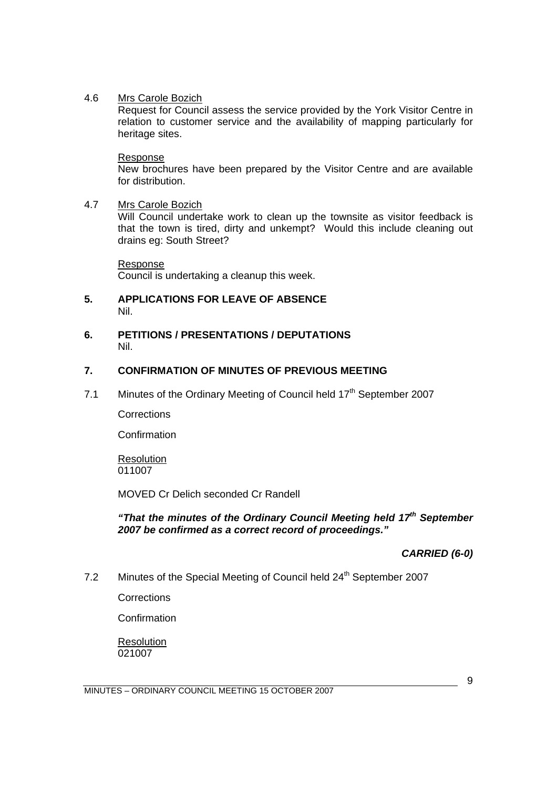#### <span id="page-8-0"></span>4.6 Mrs Carole Bozich

 Request for Council assess the service provided by the York Visitor Centre in relation to customer service and the availability of mapping particularly for heritage sites.

#### Response

 New brochures have been prepared by the Visitor Centre and are available for distribution.

#### 4.7 Mrs Carole Bozich

 Will Council undertake work to clean up the townsite as visitor feedback is that the town is tired, dirty and unkempt? Would this include cleaning out drains eg: South Street?

Response Council is undertaking a cleanup this week.

#### **5. APPLICATIONS FOR LEAVE OF ABSENCE**  Nil.

#### **6. PETITIONS / PRESENTATIONS / DEPUTATIONS**  Nil.

#### **7. CONFIRMATION OF MINUTES OF PREVIOUS MEETING**

7.1 Minutes of the Ordinary Meeting of Council held 17<sup>th</sup> September 2007

**Corrections** 

**Confirmation** 

Resolution 011007

MOVED Cr Delich seconded Cr Randell

*"That the minutes of the Ordinary Council Meeting held 17th September 2007 be confirmed as a correct record of proceedings."* 

*CARRIED (6-0)* 

7.2 Minutes of the Special Meeting of Council held 24<sup>th</sup> September 2007

**Corrections** 

Confirmation

Resolution 021007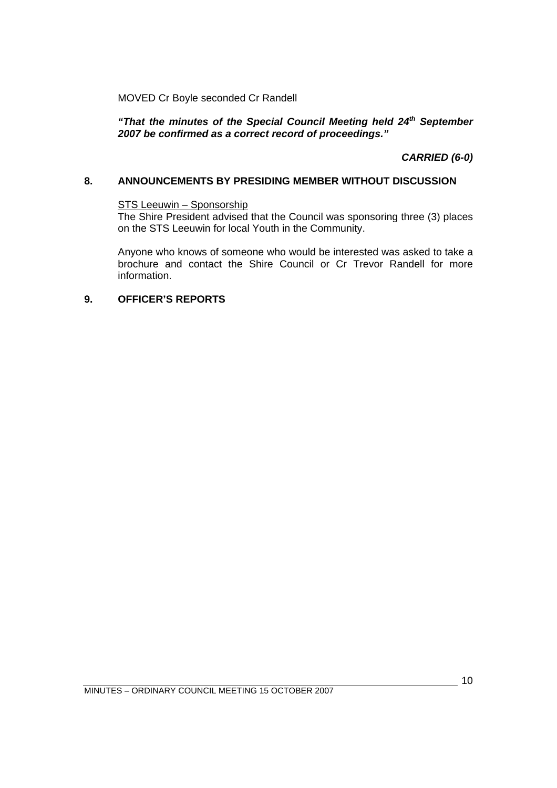<span id="page-9-0"></span>MOVED Cr Boyle seconded Cr Randell

"That the minutes of the Special Council Meeting held 24<sup>th</sup> September *2007 be confirmed as a correct record of proceedings."* 

 *CARRIED (6-0)* 

#### **8. ANNOUNCEMENTS BY PRESIDING MEMBER WITHOUT DISCUSSION**

#### STS Leeuwin – Sponsorship

 The Shire President advised that the Council was sponsoring three (3) places on the STS Leeuwin for local Youth in the Community.

 Anyone who knows of someone who would be interested was asked to take a brochure and contact the Shire Council or Cr Trevor Randell for more information.

#### **9. OFFICER'S REPORTS**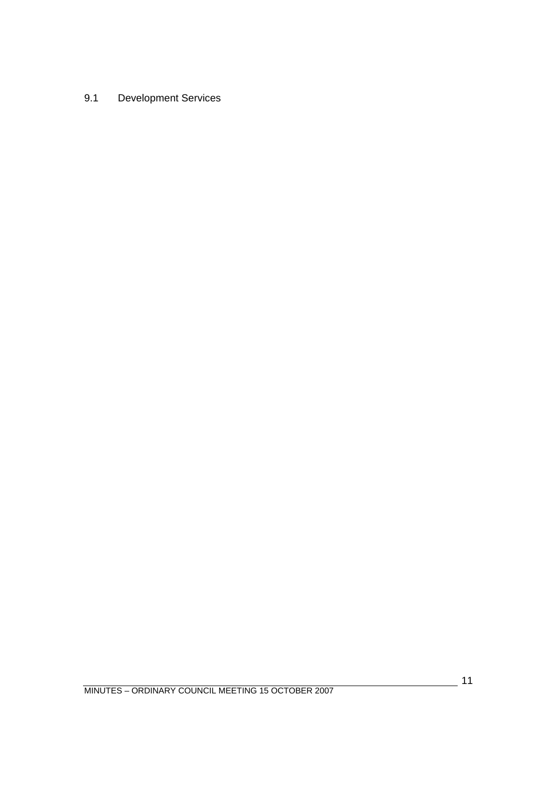<span id="page-10-0"></span>9.1 Development Services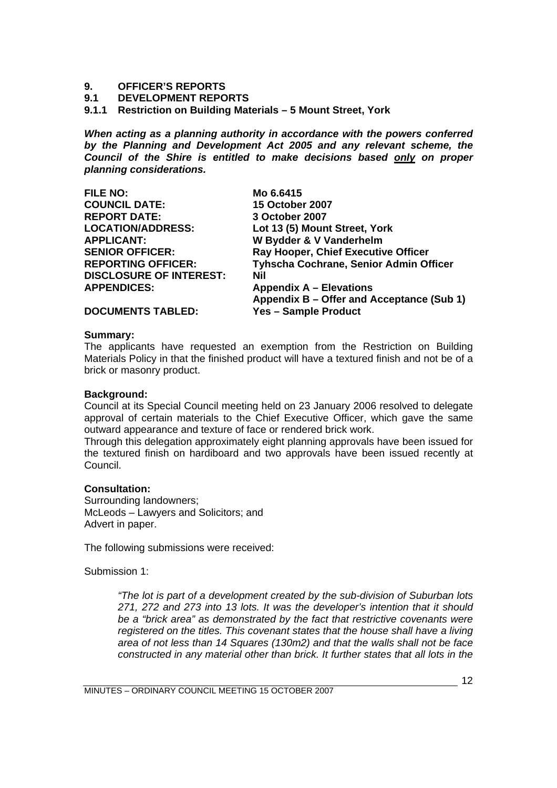## <span id="page-11-0"></span>**9. OFFICER'S REPORTS**

#### **9.1 DEVELOPMENT REPORTS**

**9.1.1 Restriction on Building Materials – 5 Mount Street, York** 

*When acting as a planning authority in accordance with the powers conferred by the Planning and Development Act 2005 and any relevant scheme, the Council of the Shire is entitled to make decisions based only on proper planning considerations.* 

| <b>FILE NO:</b>                | Mo 6.6415                                  |
|--------------------------------|--------------------------------------------|
| <b>COUNCIL DATE:</b>           | <b>15 October 2007</b>                     |
| <b>REPORT DATE:</b>            | 3 October 2007                             |
| <b>LOCATION/ADDRESS:</b>       | Lot 13 (5) Mount Street, York              |
| <b>APPLICANT:</b>              | W Bydder & V Vanderhelm                    |
| <b>SENIOR OFFICER:</b>         | <b>Ray Hooper, Chief Executive Officer</b> |
| <b>REPORTING OFFICER:</b>      | Tyhscha Cochrane, Senior Admin Officer     |
| <b>DISCLOSURE OF INTEREST:</b> | Nil                                        |
| <b>APPENDICES:</b>             | <b>Appendix A - Elevations</b>             |
|                                | Appendix B – Offer and Acceptance (Sub 1)  |
| <b>DOCUMENTS TABLED:</b>       | <b>Yes - Sample Product</b>                |

**Summary:** 

The applicants have requested an exemption from the Restriction on Building Materials Policy in that the finished product will have a textured finish and not be of a brick or masonry product.

#### **Background:**

Council at its Special Council meeting held on 23 January 2006 resolved to delegate approval of certain materials to the Chief Executive Officer, which gave the same outward appearance and texture of face or rendered brick work.

Through this delegation approximately eight planning approvals have been issued for the textured finish on hardiboard and two approvals have been issued recently at Council.

#### **Consultation:**

Surrounding landowners; McLeods – Lawyers and Solicitors; and Advert in paper.

The following submissions were received:

Submission 1:

*"The lot is part of a development created by the sub-division of Suburban lots 271, 272 and 273 into 13 lots. It was the developer's intention that it should be a "brick area" as demonstrated by the fact that restrictive covenants were registered on the titles. This covenant states that the house shall have a living area of not less than 14 Squares (130m2) and that the walls shall not be face constructed in any material other than brick. It further states that all lots in the*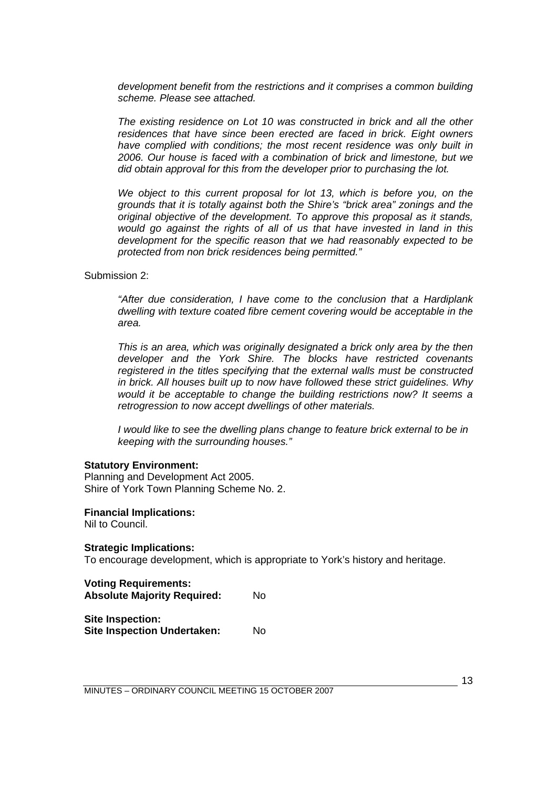*development benefit from the restrictions and it comprises a common building scheme. Please see attached.* 

*The existing residence on Lot 10 was constructed in brick and all the other residences that have since been erected are faced in brick. Eight owners have complied with conditions; the most recent residence was only built in 2006. Our house is faced with a combination of brick and limestone, but we did obtain approval for this from the developer prior to purchasing the lot.* 

*We object to this current proposal for lot 13, which is before you, on the grounds that it is totally against both the Shire's "brick area" zonings and the original objective of the development. To approve this proposal as it stands, would go against the rights of all of us that have invested in land in this development for the specific reason that we had reasonably expected to be protected from non brick residences being permitted."*

Submission 2:

*"After due consideration, I have come to the conclusion that a Hardiplank dwelling with texture coated fibre cement covering would be acceptable in the area.* 

*This is an area, which was originally designated a brick only area by the then developer and the York Shire. The blocks have restricted covenants registered in the titles specifying that the external walls must be constructed in brick. All houses built up to now have followed these strict guidelines. Why would it be acceptable to change the building restrictions now? It seems a retrogression to now accept dwellings of other materials.* 

*I would like to see the dwelling plans change to feature brick external to be in keeping with the surrounding houses."*

#### **Statutory Environment:**

Planning and Development Act 2005. Shire of York Town Planning Scheme No. 2.

**Financial Implications:** 

Nil to Council.

#### **Strategic Implications:**

To encourage development, which is appropriate to York's history and heritage.

| <b>Voting Requirements:</b>        |    |
|------------------------------------|----|
| <b>Absolute Majority Required:</b> | No |
|                                    |    |

**Site Inspection: Site Inspection Undertaken:** No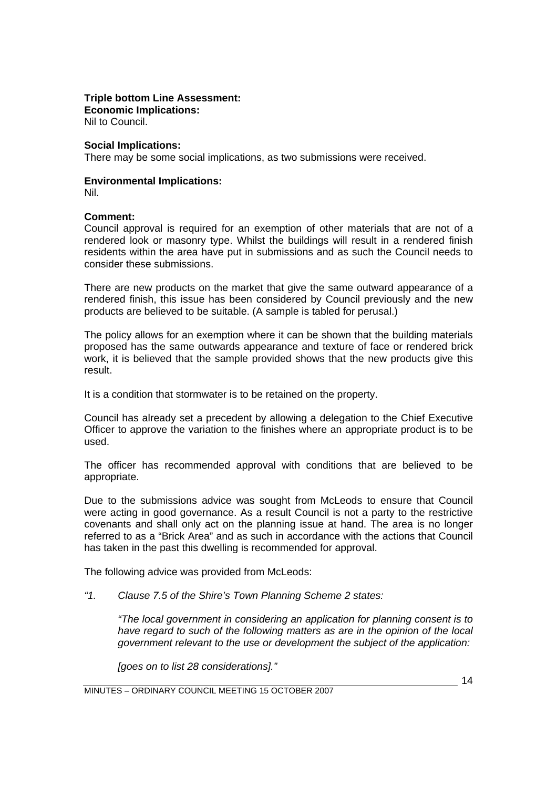#### **Triple bottom Line Assessment:**

**Economic Implications:**  Nil to Council.

#### **Social Implications:**

There may be some social implications, as two submissions were received.

#### **Environmental Implications:**

Nil.

#### **Comment:**

Council approval is required for an exemption of other materials that are not of a rendered look or masonry type. Whilst the buildings will result in a rendered finish residents within the area have put in submissions and as such the Council needs to consider these submissions.

There are new products on the market that give the same outward appearance of a rendered finish, this issue has been considered by Council previously and the new products are believed to be suitable. (A sample is tabled for perusal.)

The policy allows for an exemption where it can be shown that the building materials proposed has the same outwards appearance and texture of face or rendered brick work, it is believed that the sample provided shows that the new products give this result.

It is a condition that stormwater is to be retained on the property.

Council has already set a precedent by allowing a delegation to the Chief Executive Officer to approve the variation to the finishes where an appropriate product is to be used.

The officer has recommended approval with conditions that are believed to be appropriate.

Due to the submissions advice was sought from McLeods to ensure that Council were acting in good governance. As a result Council is not a party to the restrictive covenants and shall only act on the planning issue at hand. The area is no longer referred to as a "Brick Area" and as such in accordance with the actions that Council has taken in the past this dwelling is recommended for approval.

The following advice was provided from McLeods:

*"1. Clause 7.5 of the Shire's Town Planning Scheme 2 states:* 

*"The local government in considering an application for planning consent is to have regard to such of the following matters as are in the opinion of the local government relevant to the use or development the subject of the application:* 

*[goes on to list 28 considerations]."* 

MINUTES – ORDINARY COUNCIL MEETING 15 OCTOBER 2007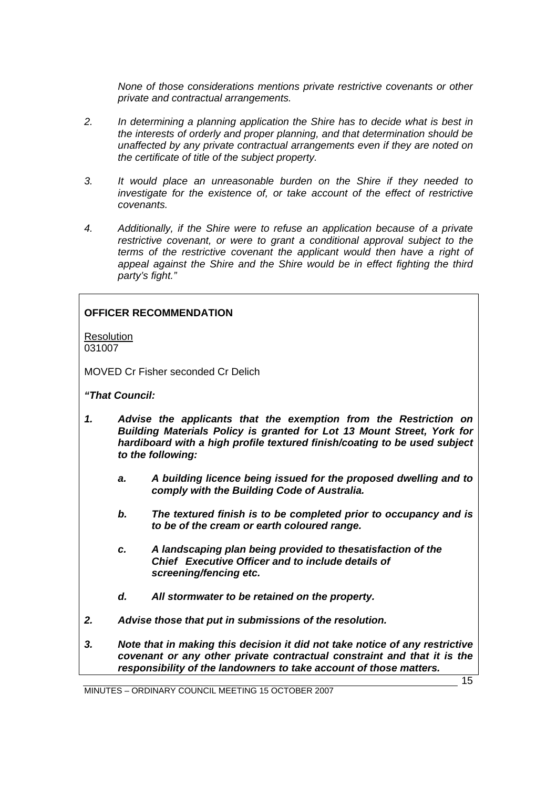*None of those considerations mentions private restrictive covenants or other private and contractual arrangements.* 

- *2. In determining a planning application the Shire has to decide what is best in the interests of orderly and proper planning, and that determination should be unaffected by any private contractual arrangements even if they are noted on the certificate of title of the subject property.*
- *3. It would place an unreasonable burden on the Shire if they needed to investigate for the existence of, or take account of the effect of restrictive covenants.*
- *4. Additionally, if the Shire were to refuse an application because of a private restrictive covenant, or were to grant a conditional approval subject to the terms of the restrictive covenant the applicant would then have a right of appeal against the Shire and the Shire would be in effect fighting the third party's fight."*

#### **OFFICER RECOMMENDATION**

**Resolution** 031007

MOVED Cr Fisher seconded Cr Delich

#### *"That Council:*

- *1. Advise the applicants that the exemption from the Restriction on Building Materials Policy is granted for Lot 13 Mount Street, York for hardiboard with a high profile textured finish/coating to be used subject to the following:* 
	- *a. A building licence being issued for the proposed dwelling and to comply with the Building Code of Australia.*
	- *b. The textured finish is to be completed prior to occupancy and is to be of the cream or earth coloured range.*
	- *c. A landscaping plan being provided to the satisfaction of the Chief Executive Officer and to include details of screening/fencing etc.*
	- *d. All stormwater to be retained on the property.*
- *2. Advise those that put in submissions of the resolution.*
- *3. Note that in making this decision it did not take notice of any restrictive covenant or any other private contractual constraint and that it is the responsibility of the landowners to take account of those matters.*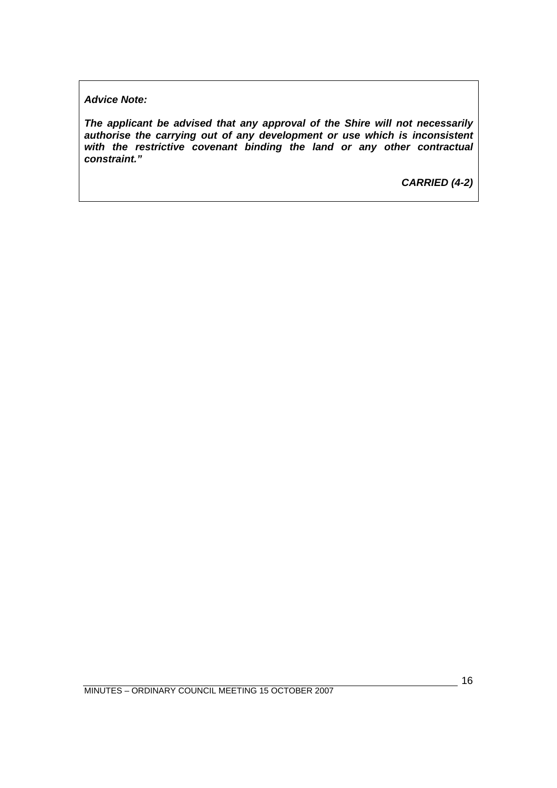*Advice Note:* 

*The applicant be advised that any approval of the Shire will not necessarily authorise the carrying out of any development or use which is inconsistent with the restrictive covenant binding the land or any other contractual constraint."* 

*CARRIED (4-2)*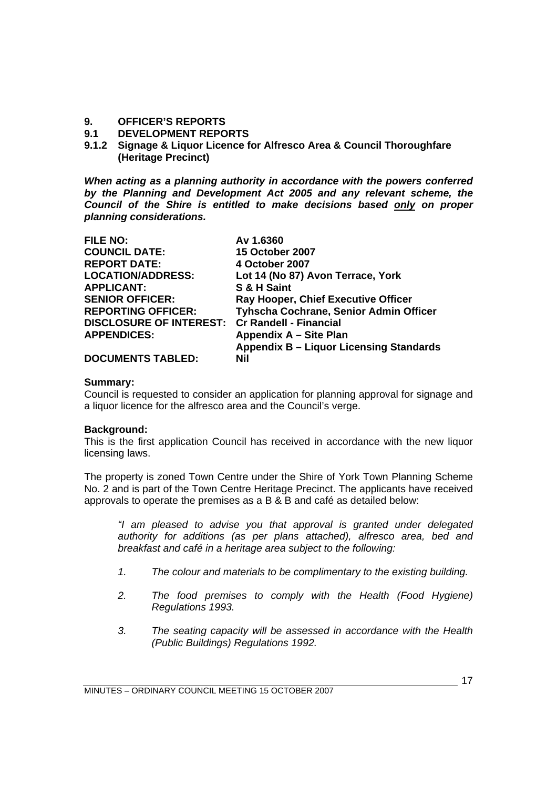#### <span id="page-16-0"></span>**9. OFFICER'S REPORTS**

- **9.1 DEVELOPMENT REPORTS**
- **9.1.2 Signage & Liquor Licence for Alfresco Area & Council Thoroughfare (Heritage Precinct)**

*When acting as a planning authority in accordance with the powers conferred by the Planning and Development Act 2005 and any relevant scheme, the Council of the Shire is entitled to make decisions based only on proper planning considerations.* 

| <b>FILE NO:</b>                                | Av 1.6360                                  |
|------------------------------------------------|--------------------------------------------|
| <b>COUNCIL DATE:</b>                           | <b>15 October 2007</b>                     |
| <b>REPORT DATE:</b>                            | 4 October 2007                             |
| <b>LOCATION/ADDRESS:</b>                       | Lot 14 (No 87) Avon Terrace, York          |
| <b>APPLICANT:</b>                              | S & H Saint                                |
| <b>SENIOR OFFICER:</b>                         | <b>Ray Hooper, Chief Executive Officer</b> |
| <b>REPORTING OFFICER:</b>                      | Tyhscha Cochrane, Senior Admin Officer     |
| DISCLOSURE OF INTEREST: Cr Randell - Financial |                                            |
| <b>APPENDICES:</b>                             | Appendix A - Site Plan                     |
|                                                | Appendix B - Liquor Licensing Standards    |
| <b>DOCUMENTS TABLED:</b>                       | Nil                                        |

#### **Summary:**

Council is requested to consider an application for planning approval for signage and a liquor licence for the alfresco area and the Council's verge.

#### **Background:**

This is the first application Council has received in accordance with the new liquor licensing laws.

The property is zoned Town Centre under the Shire of York Town Planning Scheme No. 2 and is part of the Town Centre Heritage Precinct. The applicants have received approvals to operate the premises as a B & B and café as detailed below:

*"I am pleased to advise you that approval is granted under delegated authority for additions (as per plans attached), alfresco area, bed and breakfast and café in a heritage area subject to the following:* 

- *1. The colour and materials to be complimentary to the existing building.*
- *2. The food premises to comply with the Health (Food Hygiene) Regulations 1993.*
- *3. The seating capacity will be assessed in accordance with the Health (Public Buildings) Regulations 1992.*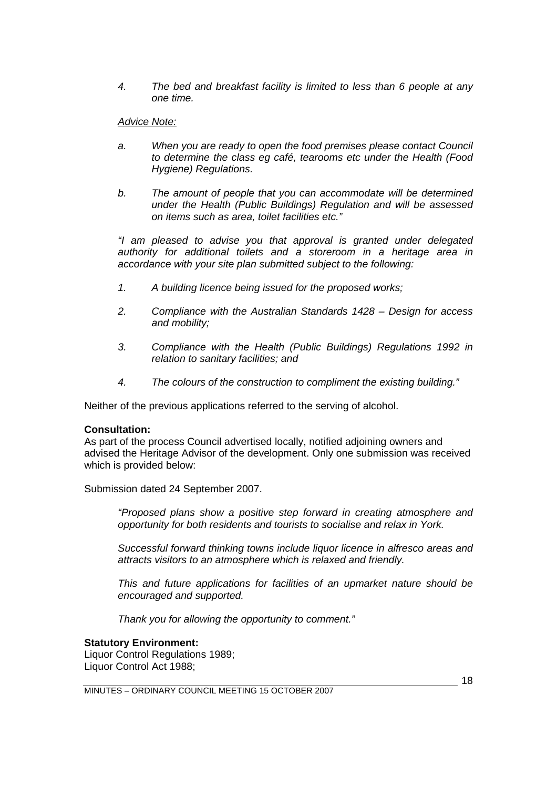*4. The bed and breakfast facility is limited to less than 6 people at any one time.* 

#### *Advice Note:*

- *a. When you are ready to open the food premises please contact Council to determine the class eg café, tearooms etc under the Health (Food Hygiene) Regulations.*
- *b. The amount of people that you can accommodate will be determined under the Health (Public Buildings) Regulation and will be assessed on items such as area, toilet facilities etc."*

*"I am pleased to advise you that approval is granted under delegated authority for additional toilets and a storeroom in a heritage area in accordance with your site plan submitted subject to the following:* 

- *1. A building licence being issued for the proposed works;*
- *2. Compliance with the Australian Standards 1428 Design for access and mobility;*
- *3. Compliance with the Health (Public Buildings) Regulations 1992 in relation to sanitary facilities; and*
- *4. The colours of the construction to compliment the existing building."*

Neither of the previous applications referred to the serving of alcohol.

#### **Consultation:**

As part of the process Council advertised locally, notified adjoining owners and advised the Heritage Advisor of the development. Only one submission was received which is provided below:

Submission dated 24 September 2007.

*"Proposed plans show a positive step forward in creating atmosphere and opportunity for both residents and tourists to socialise and relax in York.* 

*Successful forward thinking towns include liquor licence in alfresco areas and attracts visitors to an atmosphere which is relaxed and friendly.* 

*This and future applications for facilities of an upmarket nature should be encouraged and supported.* 

*Thank you for allowing the opportunity to comment."* 

#### **Statutory Environment:**

Liquor Control Regulations 1989; Liquor Control Act 1988;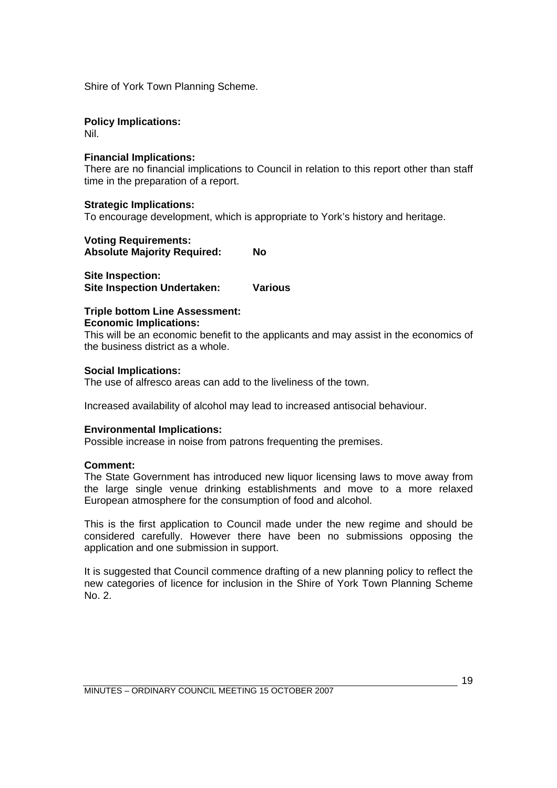Shire of York Town Planning Scheme.

#### **Policy Implications:**

Nil.

#### **Financial Implications:**

There are no financial implications to Council in relation to this report other than staff time in the preparation of a report.

#### **Strategic Implications:**

To encourage development, which is appropriate to York's history and heritage.

**Voting Requirements: Absolute Majority Required: No** 

**Site Inspection: Site Inspection Undertaken: Various** 

#### **Triple bottom Line Assessment: Economic Implications:**

This will be an economic benefit to the applicants and may assist in the economics of the business district as a whole.

#### **Social Implications:**

The use of alfresco areas can add to the liveliness of the town.

Increased availability of alcohol may lead to increased antisocial behaviour.

#### **Environmental Implications:**

Possible increase in noise from patrons frequenting the premises.

#### **Comment:**

The State Government has introduced new liquor licensing laws to move away from the large single venue drinking establishments and move to a more relaxed European atmosphere for the consumption of food and alcohol.

This is the first application to Council made under the new regime and should be considered carefully. However there have been no submissions opposing the application and one submission in support.

It is suggested that Council commence drafting of a new planning policy to reflect the new categories of licence for inclusion in the Shire of York Town Planning Scheme No. 2.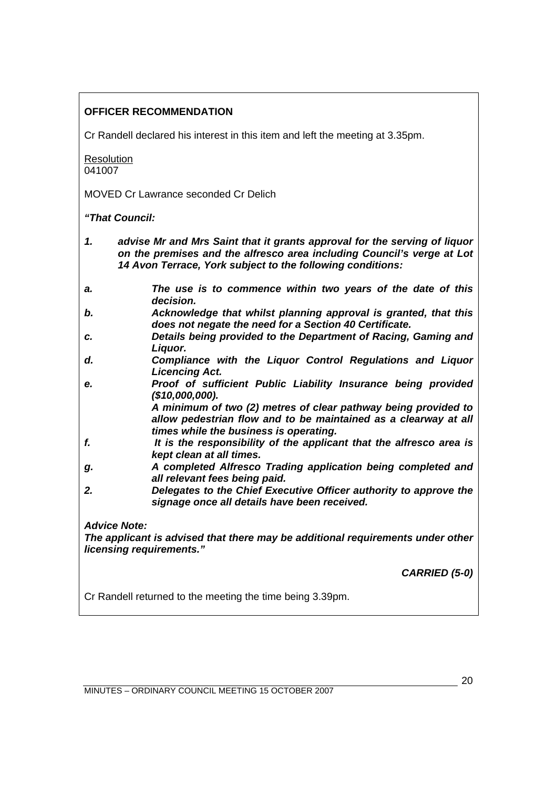#### **OFFICER RECOMMENDATION**

Cr Randell declared his interest in this item and left the meeting at 3.35pm.

**Resolution** 041007

MOVED Cr Lawrance seconded Cr Delich

*"That Council:* 

- *1. advise Mr and Mrs Saint that it grants approval for the serving of liquor on the premises and the alfresco area including Council's verge at Lot 14 Avon Terrace, York subject to the following conditions:*
- *a. The use is to commence within two years of the date of this decision.*
- *b. Acknowledge that whilst planning approval is granted, that this does not negate the need for a Section 40 Certificate.*
- *c. Details being provided to the Department of Racing, Gaming and Liquor.*
- *d. Compliance with the Liquor Control Regulations and Liquor Licencing Act.*
- *e. Proof of sufficient Public Liability Insurance being provided (\$10,000,000).*

 *A minimum of two (2) metres of clear pathway being provided to allow pedestrian flow and to be maintained as a clearway at all times while the business is operating.* 

- *f. It is the responsibility of the applicant that the alfresco area is kept clean at all times.*
- *g. A completed Alfresco Trading application being completed and all relevant fees being paid.*
- *2. Delegates to the Chief Executive Officer authority to approve the signage once all details have been received.*

*Advice Note:* 

*The applicant is advised that there may be additional requirements under other licensing requirements."*

*CARRIED (5-0)* 

Cr Randell returned to the meeting the time being 3.39pm.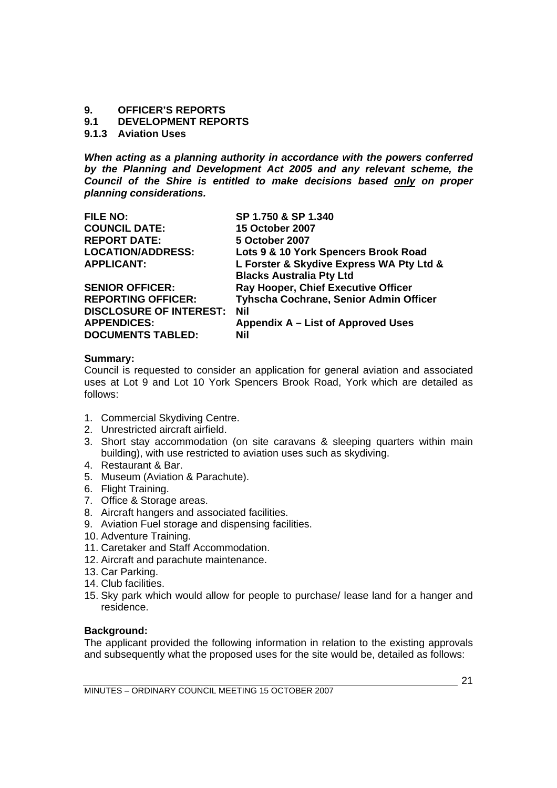#### <span id="page-20-0"></span>**9. OFFICER'S REPORTS**

#### **9.1 DEVELOPMENT REPORTS**

#### **9.1.3 Aviation Uses**

*When acting as a planning authority in accordance with the powers conferred by the Planning and Development Act 2005 and any relevant scheme, the Council of the Shire is entitled to make decisions based only on proper planning considerations.* 

| <b>FILE NO:</b>                | SP 1.750 & SP 1.340                      |
|--------------------------------|------------------------------------------|
| <b>COUNCIL DATE:</b>           | <b>15 October 2007</b>                   |
| <b>REPORT DATE:</b>            | 5 October 2007                           |
| <b>LOCATION/ADDRESS:</b>       | Lots 9 & 10 York Spencers Brook Road     |
| <b>APPLICANT:</b>              | L Forster & Skydive Express WA Pty Ltd & |
|                                | <b>Blacks Australia Pty Ltd</b>          |
| <b>SENIOR OFFICER:</b>         | Ray Hooper, Chief Executive Officer      |
| <b>REPORTING OFFICER:</b>      | Tyhscha Cochrane, Senior Admin Officer   |
| <b>DISCLOSURE OF INTEREST:</b> | <b>Nil</b>                               |
| <b>APPENDICES:</b>             | Appendix A – List of Approved Uses       |
| <b>DOCUMENTS TABLED:</b>       | Nil                                      |

#### **Summary:**

Council is requested to consider an application for general aviation and associated uses at Lot 9 and Lot 10 York Spencers Brook Road, York which are detailed as follows:

- 1. Commercial Skydiving Centre.
- 2. Unrestricted aircraft airfield.
- 3. Short stay accommodation (on site caravans & sleeping quarters within main building), with use restricted to aviation uses such as skydiving.
- 4. Restaurant & Bar.
- 5. Museum (Aviation & Parachute).
- 6. Flight Training.
- 7. Office & Storage areas.
- 8. Aircraft hangers and associated facilities.
- 9. Aviation Fuel storage and dispensing facilities.
- 10. Adventure Training.
- 11. Caretaker and Staff Accommodation.
- 12. Aircraft and parachute maintenance.
- 13. Car Parking.
- 14. Club facilities.
- 15. Sky park which would allow for people to purchase/ lease land for a hanger and residence.

#### **Background:**

The applicant provided the following information in relation to the existing approvals and subsequently what the proposed uses for the site would be, detailed as follows: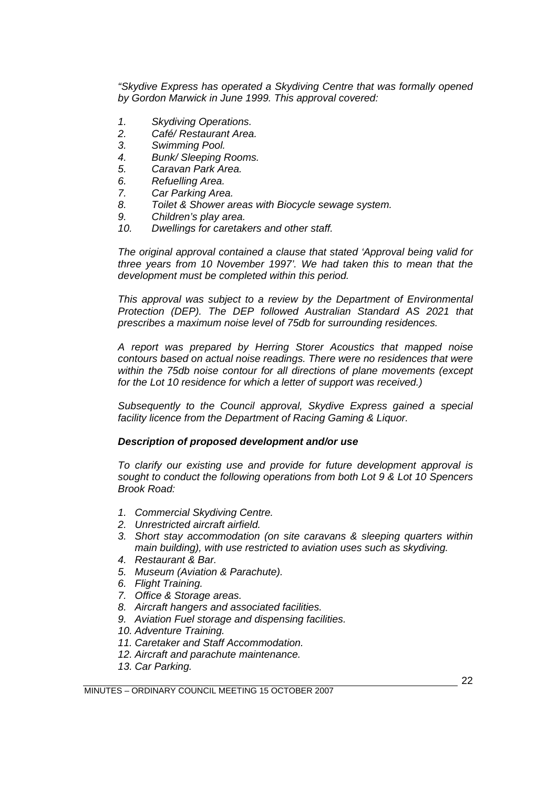*"Skydive Express has operated a Skydiving Centre that was formally opened by Gordon Marwick in June 1999. This approval covered:* 

- *1. Skydiving Operations.*
- *2. Café/ Restaurant Area.*
- *3. Swimming Pool.*
- *4. Bunk/ Sleeping Rooms.*
- *5. Caravan Park Area.*
- *6. Refuelling Area.*
- *7. Car Parking Area.*
- *8. Toilet & Shower areas with Biocycle sewage system.*
- *9. Children's play area.*
- *10. Dwellings for caretakers and other staff.*

*The original approval contained a clause that stated 'Approval being valid for three years from 10 November 1997'. We had taken this to mean that the development must be completed within this period.* 

*This approval was subject to a review by the Department of Environmental Protection (DEP). The DEP followed Australian Standard AS 2021 that prescribes a maximum noise level of 75db for surrounding residences.* 

*A report was prepared by Herring Storer Acoustics that mapped noise contours based on actual noise readings. There were no residences that were within the 75db noise contour for all directions of plane movements (except for the Lot 10 residence for which a letter of support was received.)* 

*Subsequently to the Council approval, Skydive Express gained a special facility licence from the Department of Racing Gaming & Liquor.* 

#### *Description of proposed development and/or use*

*To clarify our existing use and provide for future development approval is sought to conduct the following operations from both Lot 9 & Lot 10 Spencers Brook Road:* 

- *1. Commercial Skydiving Centre.*
- *2. Unrestricted aircraft airfield.*
- *3. Short stay accommodation (on site caravans & sleeping quarters within main building), with use restricted to aviation uses such as skydiving.*
- *4. Restaurant & Bar.*
- *5. Museum (Aviation & Parachute).*
- *6. Flight Training.*
- *7. Office & Storage areas.*
- *8. Aircraft hangers and associated facilities.*
- *9. Aviation Fuel storage and dispensing facilities.*
- *10. Adventure Training.*
- *11. Caretaker and Staff Accommodation.*
- *12. Aircraft and parachute maintenance.*
- *13. Car Parking.*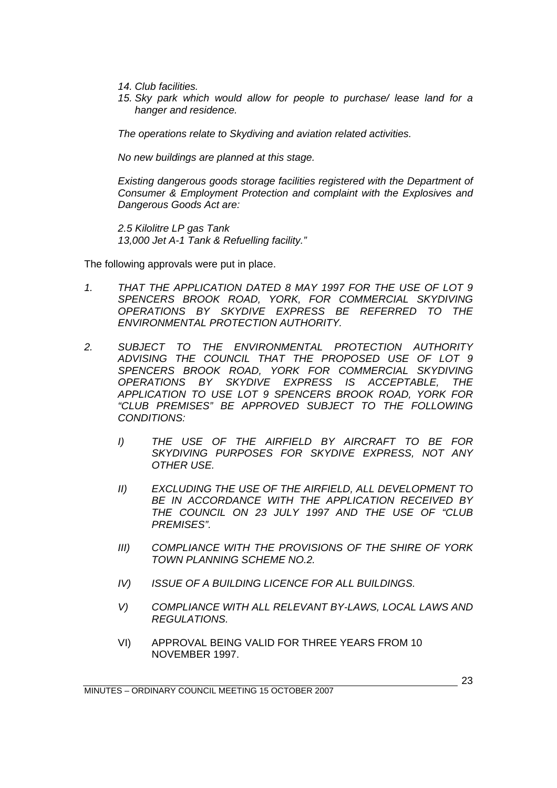- *14. Club facilities.*
- *15. Sky park which would allow for people to purchase/ lease land for a hanger and residence.*

*The operations relate to Skydiving and aviation related activities.* 

*No new buildings are planned at this stage.* 

*Existing dangerous goods storage facilities registered with the Department of Consumer & Employment Protection and complaint with the Explosives and Dangerous Goods Act are:* 

*2.5 Kilolitre LP gas Tank 13,000 Jet A-1 Tank & Refuelling facility."* 

The following approvals were put in place.

- *1. THAT THE APPLICATION DATED 8 MAY 1997 FOR THE USE OF LOT 9 SPENCERS BROOK ROAD, YORK, FOR COMMERCIAL SKYDIVING OPERATIONS BY SKYDIVE EXPRESS BE REFERRED TO THE ENVIRONMENTAL PROTECTION AUTHORITY.*
- *2. SUBJECT TO THE ENVIRONMENTAL PROTECTION AUTHORITY ADVISING THE COUNCIL THAT THE PROPOSED USE OF LOT 9 SPENCERS BROOK ROAD, YORK FOR COMMERCIAL SKYDIVING OPERATIONS BY SKYDIVE EXPRESS IS ACCEPTABLE, THE APPLICATION TO USE LOT 9 SPENCERS BROOK ROAD, YORK FOR "CLUB PREMISES" BE APPROVED SUBJECT TO THE FOLLOWING CONDITIONS:* 
	- *I) THE USE OF THE AIRFIELD BY AIRCRAFT TO BE FOR SKYDIVING PURPOSES FOR SKYDIVE EXPRESS, NOT ANY OTHER USE.*
	- *II) EXCLUDING THE USE OF THE AIRFIELD, ALL DEVELOPMENT TO*  **BE IN ACCORDANCE WITH THE APPLICATION RECEIVED BY** *THE COUNCIL ON 23 JULY 1997 AND THE USE OF "CLUB PREMISES".*
	- *III) COMPLIANCE WITH THE PROVISIONS OF THE SHIRE OF YORK TOWN PLANNING SCHEME NO.2.*
	- *IV) ISSUE OF A BUILDING LICENCE FOR ALL BUILDINGS.*
	- *V) COMPLIANCE WITH ALL RELEVANT BY-LAWS, LOCAL LAWS AND REGULATIONS.*
	- VI) APPROVAL BEING VALID FOR THREE YEARS FROM 10 NOVEMBER 1997.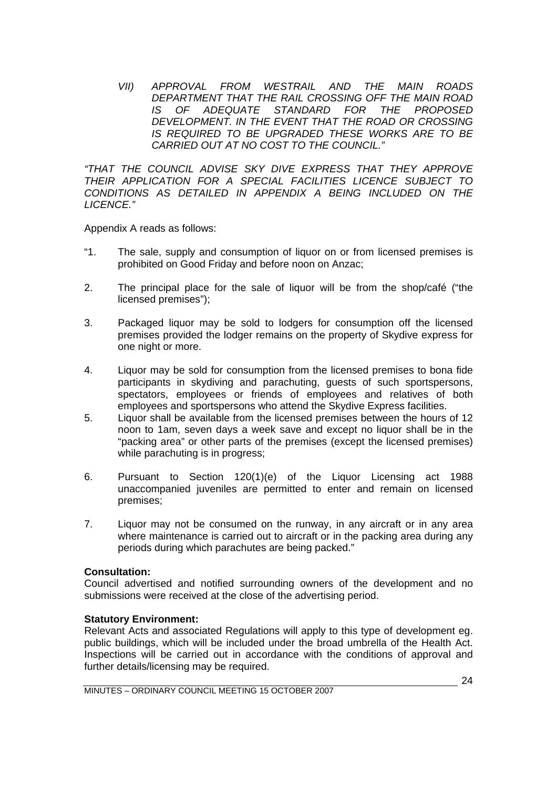*VII) APPROVAL FROM WESTRAIL AND THE MAIN ROADS DEPARTMENT THAT THE RAIL CROSSING OFF THE MAIN ROAD IS OF ADEQUATE STANDARD FOR THE PROPOSED DEVELOPMENT. IN THE EVENT THAT THE ROAD OR CROSSING IS REQUIRED TO BE UPGRADED THESE WORKS ARE TO BE CARRIED OUT AT NO COST TO THE COUNCIL."*

*"THAT THE COUNCIL ADVISE SKY DIVE EXPRESS THAT THEY APPROVE THEIR APPLICATION FOR A SPECIAL FACILITIES LICENCE SUBJECT TO CONDITIONS AS DETAILED IN APPENDIX A BEING INCLUDED ON THE LICENCE."* 

Appendix A reads as follows:

- "1. The sale, supply and consumption of liquor on or from licensed premises is prohibited on Good Friday and before noon on Anzac;
- 2. The principal place for the sale of liquor will be from the shop/café ("the licensed premises");
- 3. Packaged liquor may be sold to lodgers for consumption off the licensed premises provided the lodger remains on the property of Skydive express for one night or more.
- 4. Liquor may be sold for consumption from the licensed premises to bona fide participants in skydiving and parachuting, guests of such sportspersons, spectators, employees or friends of employees and relatives of both employees and sportspersons who attend the Skydive Express facilities.
- 5. Liquor shall be available from the licensed premises between the hours of 12 noon to 1am, seven days a week save and except no liquor shall be in the "packing area" or other parts of the premises (except the licensed premises) while parachuting is in progress;
- 6. Pursuant to Section 120(1)(e) of the Liquor Licensing act 1988 unaccompanied juveniles are permitted to enter and remain on licensed premises;
- 7. Liquor may not be consumed on the runway, in any aircraft or in any area where maintenance is carried out to aircraft or in the packing area during any periods during which parachutes are being packed."

#### **Consultation:**

Council advertised and notified surrounding owners of the development and no submissions were received at the close of the advertising period.

#### **Statutory Environment:**

Relevant Acts and associated Regulations will apply to this type of development eg. public buildings, which will be included under the broad umbrella of the Health Act. Inspections will be carried out in accordance with the conditions of approval and further details/licensing may be required.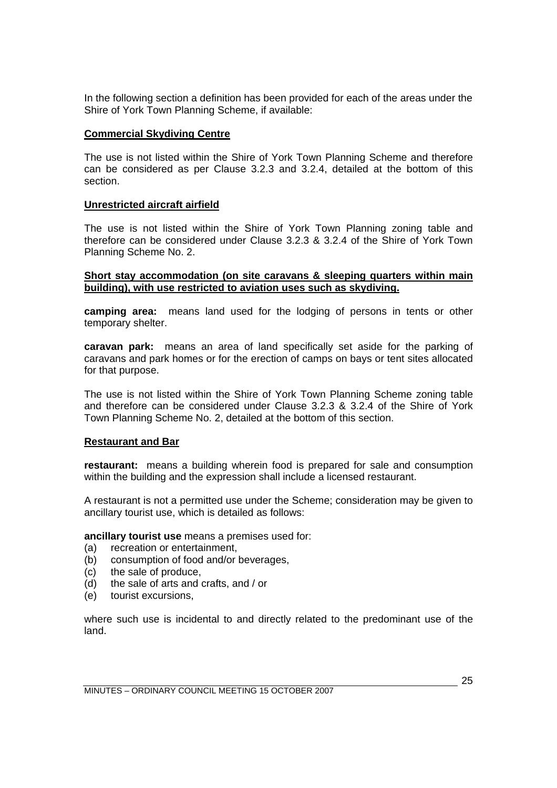In the following section a definition has been provided for each of the areas under the Shire of York Town Planning Scheme, if available:

#### **Commercial Skydiving Centre**

The use is not listed within the Shire of York Town Planning Scheme and therefore can be considered as per Clause 3.2.3 and 3.2.4, detailed at the bottom of this section.

#### **Unrestricted aircraft airfield**

The use is not listed within the Shire of York Town Planning zoning table and therefore can be considered under Clause 3.2.3 & 3.2.4 of the Shire of York Town Planning Scheme No. 2.

#### **Short stay accommodation (on site caravans & sleeping quarters within main building), with use restricted to aviation uses such as skydiving.**

**camping area:** means land used for the lodging of persons in tents or other temporary shelter.

**caravan park:** means an area of land specifically set aside for the parking of caravans and park homes or for the erection of camps on bays or tent sites allocated for that purpose.

The use is not listed within the Shire of York Town Planning Scheme zoning table and therefore can be considered under Clause 3.2.3 & 3.2.4 of the Shire of York Town Planning Scheme No. 2, detailed at the bottom of this section.

#### **Restaurant and Bar**

**restaurant:** means a building wherein food is prepared for sale and consumption within the building and the expression shall include a licensed restaurant.

 A restaurant is not a permitted use under the Scheme; consideration may be given to ancillary tourist use, which is detailed as follows:

**ancillary tourist use** means a premises used for:

- (a) recreation or entertainment,
- (b) consumption of food and/or beverages,
- (c) the sale of produce,
- (d) the sale of arts and crafts, and / or
- (e) tourist excursions,

where such use is incidental to and directly related to the predominant use of the land.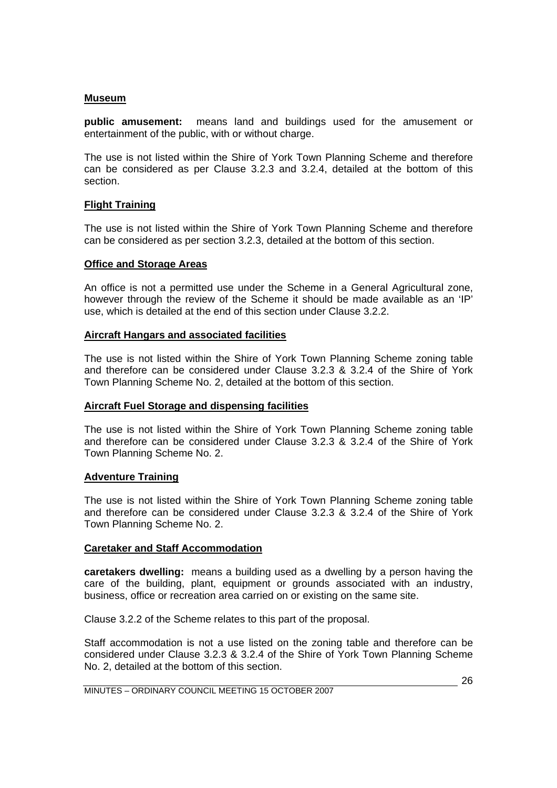#### **Museum**

**public amusement:** means land and buildings used for the amusement or entertainment of the public, with or without charge.

The use is not listed within the Shire of York Town Planning Scheme and therefore can be considered as per Clause 3.2.3 and 3.2.4, detailed at the bottom of this section.

#### **Flight Training**

The use is not listed within the Shire of York Town Planning Scheme and therefore can be considered as per section 3.2.3, detailed at the bottom of this section.

#### **Office and Storage Areas**

An office is not a permitted use under the Scheme in a General Agricultural zone, however through the review of the Scheme it should be made available as an 'IP' use, which is detailed at the end of this section under Clause 3.2.2.

#### **Aircraft Hangars and associated facilities**

The use is not listed within the Shire of York Town Planning Scheme zoning table and therefore can be considered under Clause 3.2.3 & 3.2.4 of the Shire of York Town Planning Scheme No. 2, detailed at the bottom of this section.

#### **Aircraft Fuel Storage and dispensing facilities**

The use is not listed within the Shire of York Town Planning Scheme zoning table and therefore can be considered under Clause 3.2.3 & 3.2.4 of the Shire of York Town Planning Scheme No. 2.

#### **Adventure Training**

The use is not listed within the Shire of York Town Planning Scheme zoning table and therefore can be considered under Clause 3.2.3 & 3.2.4 of the Shire of York Town Planning Scheme No. 2.

#### **Caretaker and Staff Accommodation**

**caretakers dwelling:** means a building used as a dwelling by a person having the care of the building, plant, equipment or grounds associated with an industry, business, office or recreation area carried on or existing on the same site.

Clause 3.2.2 of the Scheme relates to this part of the proposal.

Staff accommodation is not a use listed on the zoning table and therefore can be considered under Clause 3.2.3 & 3.2.4 of the Shire of York Town Planning Scheme No. 2, detailed at the bottom of this section.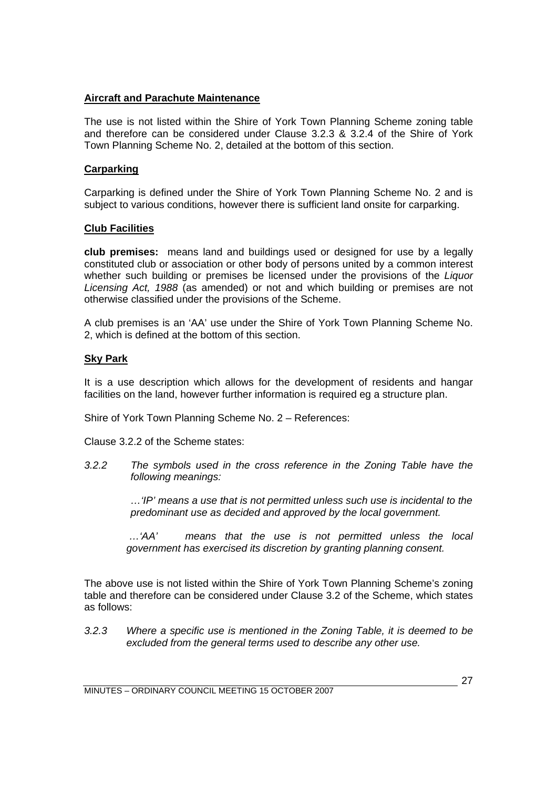#### **Aircraft and Parachute Maintenance**

The use is not listed within the Shire of York Town Planning Scheme zoning table and therefore can be considered under Clause 3.2.3 & 3.2.4 of the Shire of York Town Planning Scheme No. 2, detailed at the bottom of this section.

#### **Carparking**

Carparking is defined under the Shire of York Town Planning Scheme No. 2 and is subject to various conditions, however there is sufficient land onsite for carparking.

#### **Club Facilities**

**club premises:** means land and buildings used or designed for use by a legally constituted club or association or other body of persons united by a common interest whether such building or premises be licensed under the provisions of the *Liquor Licensing Act, 1988* (as amended) or not and which building or premises are not otherwise classified under the provisions of the Scheme.

A club premises is an 'AA' use under the Shire of York Town Planning Scheme No. 2, which is defined at the bottom of this section.

#### **Sky Park**

It is a use description which allows for the development of residents and hangar facilities on the land, however further information is required eg a structure plan.

Shire of York Town Planning Scheme No. 2 – References:

Clause 3.2.2 of the Scheme states:

*3.2.2 The symbols used in the cross reference in the Zoning Table have the following meanings:* 

> *…'IP' means a use that is not permitted unless such use is incidental to the predominant use as decided and approved by the local government.*

*…'AA' means that the use is not permitted unless the local government has exercised its discretion by granting planning consent.* 

The above use is not listed within the Shire of York Town Planning Scheme's zoning table and therefore can be considered under Clause 3.2 of the Scheme, which states as follows:

*3.2.3 Where a specific use is mentioned in the Zoning Table, it is deemed to be excluded from the general terms used to describe any other use.*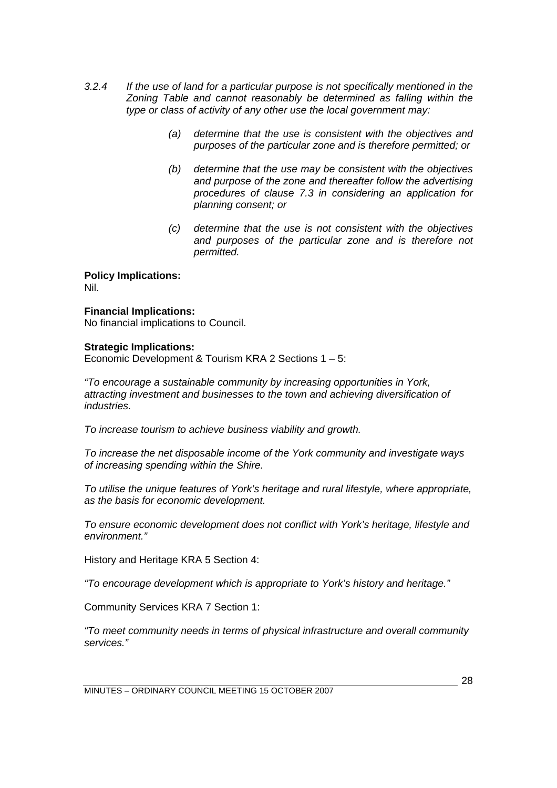- *3.2.4 If the use of land for a particular purpose is not specifically mentioned in the Zoning Table and cannot reasonably be determined as falling within the type or class of activity of any other use the local government may:* 
	- *(a) determine that the use is consistent with the objectives and purposes of the particular zone and is therefore permitted; or*
	- *(b) determine that the use may be consistent with the objectives and purpose of the zone and thereafter follow the advertising procedures of clause 7.3 in considering an application for planning consent; or*
	- *(c) determine that the use is not consistent with the objectives and purposes of the particular zone and is therefore not permitted.*

**Policy Implications:**  Nil.

#### **Financial Implications:**

No financial implications to Council.

#### **Strategic Implications:**

Economic Development & Tourism KRA 2 Sections 1 – 5:

*"To encourage a sustainable community by increasing opportunities in York, attracting investment and businesses to the town and achieving diversification of industries.* 

*To increase tourism to achieve business viability and growth.* 

*To increase the net disposable income of the York community and investigate ways of increasing spending within the Shire.* 

*To utilise the unique features of York's heritage and rural lifestyle, where appropriate, as the basis for economic development.* 

*To ensure economic development does not conflict with York's heritage, lifestyle and environment."* 

History and Heritage KRA 5 Section 4:

*"To encourage development which is appropriate to York's history and heritage."* 

Community Services KRA 7 Section 1:

*"To meet community needs in terms of physical infrastructure and overall community services."*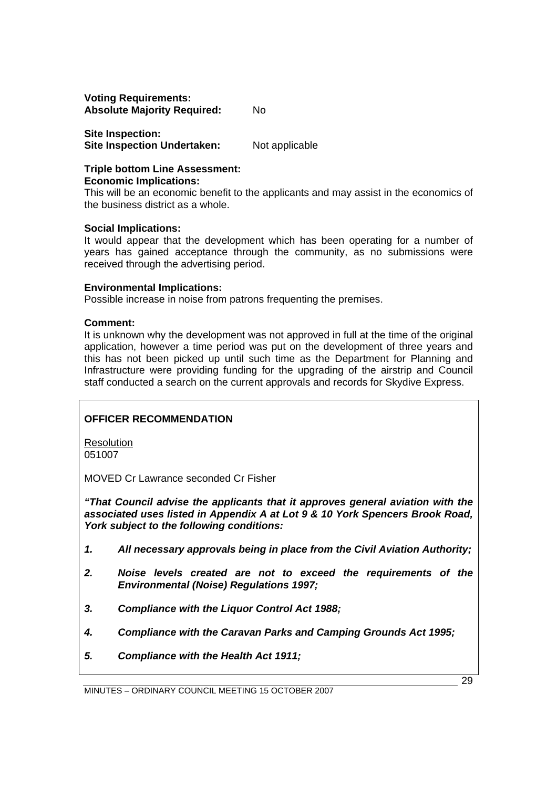**Voting Requirements: Absolute Majority Required:** No

**Site Inspection: Site Inspection Undertaken:** Not applicable

**Triple bottom Line Assessment: Economic Implications:** 

This will be an economic benefit to the applicants and may assist in the economics of the business district as a whole.

#### **Social Implications:**

It would appear that the development which has been operating for a number of years has gained acceptance through the community, as no submissions were received through the advertising period.

#### **Environmental Implications:**

Possible increase in noise from patrons frequenting the premises.

#### **Comment:**

It is unknown why the development was not approved in full at the time of the original application, however a time period was put on the development of three years and this has not been picked up until such time as the Department for Planning and Infrastructure were providing funding for the upgrading of the airstrip and Council staff conducted a search on the current approvals and records for Skydive Express.

#### **OFFICER RECOMMENDATION**

**Resolution** 051007

MOVED Cr Lawrance seconded Cr Fisher

*"That Council advise the applicants that it approves general aviation with the associated uses listed in Appendix A at Lot 9 & 10 York Spencers Brook Road, York subject to the following conditions:* 

- *1. All necessary approvals being in place from the Civil Aviation Authority;*
- *2. Noise levels created are not to exceed the requirements of the Environmental (Noise) Regulations 1997;*
- *3. Compliance with the Liquor Control Act 1988;*
- *4. Compliance with the Caravan Parks and Camping Grounds Act 1995;*
- *5. Compliance with the Health Act 1911;*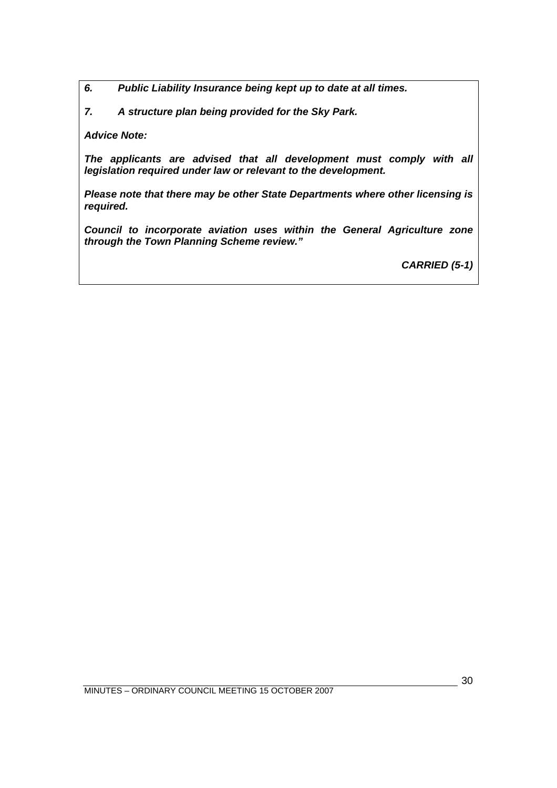*6. Public Liability Insurance being kept up to date at all times.* 

*7. A structure plan being provided for the Sky Park.* 

*Advice Note:* 

*The applicants are advised that all development must comply with all legislation required under law or relevant to the development.* 

*Please note that there may be other State Departments where other licensing is required.* 

*Council to incorporate aviation uses within the General Agriculture zone through the Town Planning Scheme review."* 

*CARRIED (5-1)*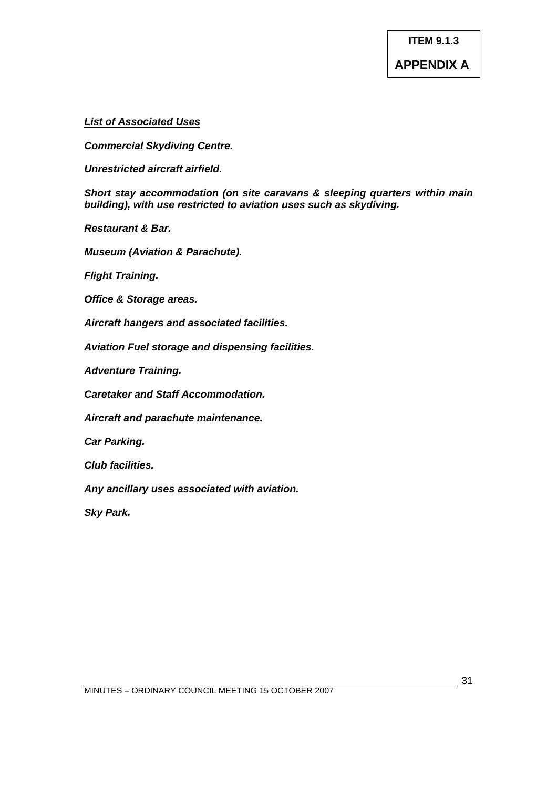#### *List of Associated Uses*

*Commercial Skydiving Centre.* 

*Unrestricted aircraft airfield.* 

*Short stay accommodation (on site caravans & sleeping quarters within main building), with use restricted to aviation uses such as skydiving.* 

*Restaurant & Bar.* 

*Museum (Aviation & Parachute).* 

*Flight Training.* 

*Office & Storage areas.* 

*Aircraft hangers and associated facilities.* 

*Aviation Fuel storage and dispensing facilities.* 

*Adventure Training.* 

*Caretaker and Staff Accommodation.* 

*Aircraft and parachute maintenance.* 

*Car Parking.* 

*Club facilities.* 

*Any ancillary uses associated with aviation.* 

*Sky Park.*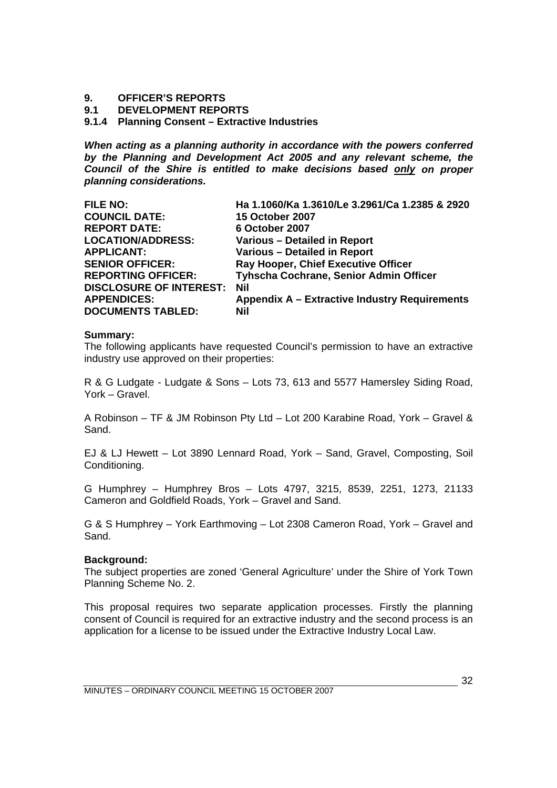#### <span id="page-31-0"></span>**9. OFFICER'S REPORTS**

**9.1 DEVELOPMENT REPORTS** 

#### **9.1.4 Planning Consent – Extractive Industries**

*When acting as a planning authority in accordance with the powers conferred by the Planning and Development Act 2005 and any relevant scheme, the Council of the Shire is entitled to make decisions based only on proper planning considerations.* 

| <b>FILE NO:</b>                | Ha 1.1060/Ka 1.3610/Le 3.2961/Ca 1.2385 & 2920 |
|--------------------------------|------------------------------------------------|
| <b>COUNCIL DATE:</b>           | <b>15 October 2007</b>                         |
| <b>REPORT DATE:</b>            | 6 October 2007                                 |
| <b>LOCATION/ADDRESS:</b>       | Various - Detailed in Report                   |
| <b>APPLICANT:</b>              | Various - Detailed in Report                   |
| <b>SENIOR OFFICER:</b>         | Ray Hooper, Chief Executive Officer            |
| <b>REPORTING OFFICER:</b>      | Tyhscha Cochrane, Senior Admin Officer         |
| <b>DISCLOSURE OF INTEREST:</b> | <b>Nil</b>                                     |
| <b>APPENDICES:</b>             | Appendix A - Extractive Industry Requirements  |
| <b>DOCUMENTS TABLED:</b>       | Nil                                            |

#### **Summary:**

The following applicants have requested Council's permission to have an extractive industry use approved on their properties:

R & G Ludgate - Ludgate & Sons – Lots 73, 613 and 5577 Hamersley Siding Road, York – Gravel.

A Robinson – TF & JM Robinson Pty Ltd – Lot 200 Karabine Road, York – Gravel & Sand.

EJ & LJ Hewett – Lot 3890 Lennard Road, York – Sand, Gravel, Composting, Soil Conditioning.

G Humphrey – Humphrey Bros – Lots 4797, 3215, 8539, 2251, 1273, 21133 Cameron and Goldfield Roads, York – Gravel and Sand.

G & S Humphrey – York Earthmoving – Lot 2308 Cameron Road, York – Gravel and Sand.

#### **Background:**

The subject properties are zoned 'General Agriculture' under the Shire of York Town Planning Scheme No. 2.

This proposal requires two separate application processes. Firstly the planning consent of Council is required for an extractive industry and the second process is an application for a license to be issued under the Extractive Industry Local Law.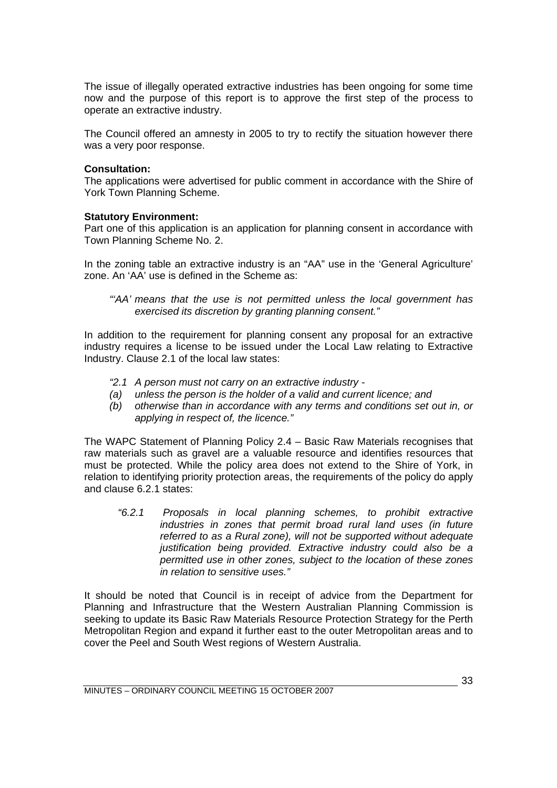The issue of illegally operated extractive industries has been ongoing for some time now and the purpose of this report is to approve the first step of the process to operate an extractive industry.

The Council offered an amnesty in 2005 to try to rectify the situation however there was a very poor response.

#### **Consultation:**

The applications were advertised for public comment in accordance with the Shire of York Town Planning Scheme.

#### **Statutory Environment:**

Part one of this application is an application for planning consent in accordance with Town Planning Scheme No. 2.

In the zoning table an extractive industry is an "AA" use in the 'General Agriculture' zone. An 'AA' use is defined in the Scheme as:

*"'AA' means that the use is not permitted unless the local government has exercised its discretion by granting planning consent."* 

In addition to the requirement for planning consent any proposal for an extractive industry requires a license to be issued under the Local Law relating to Extractive Industry. Clause 2.1 of the local law states:

- *"2.1 A person must not carry on an extractive industry*
- *(a) unless the person is the holder of a valid and current licence; and*
- *(b) otherwise than in accordance with any terms and conditions set out in, or applying in respect of, the licence."*

The WAPC Statement of Planning Policy 2.4 – Basic Raw Materials recognises that raw materials such as gravel are a valuable resource and identifies resources that must be protected. While the policy area does not extend to the Shire of York, in relation to identifying priority protection areas, the requirements of the policy do apply and clause 6.2.1 states:

*"6.2.1 Proposals in local planning schemes, to prohibit extractive industries in zones that permit broad rural land uses (in future referred to as a Rural zone), will not be supported without adequate justification being provided. Extractive industry could also be a permitted use in other zones, subject to the location of these zones in relation to sensitive uses."* 

It should be noted that Council is in receipt of advice from the Department for Planning and Infrastructure that the Western Australian Planning Commission is seeking to update its Basic Raw Materials Resource Protection Strategy for the Perth Metropolitan Region and expand it further east to the outer Metropolitan areas and to cover the Peel and South West regions of Western Australia.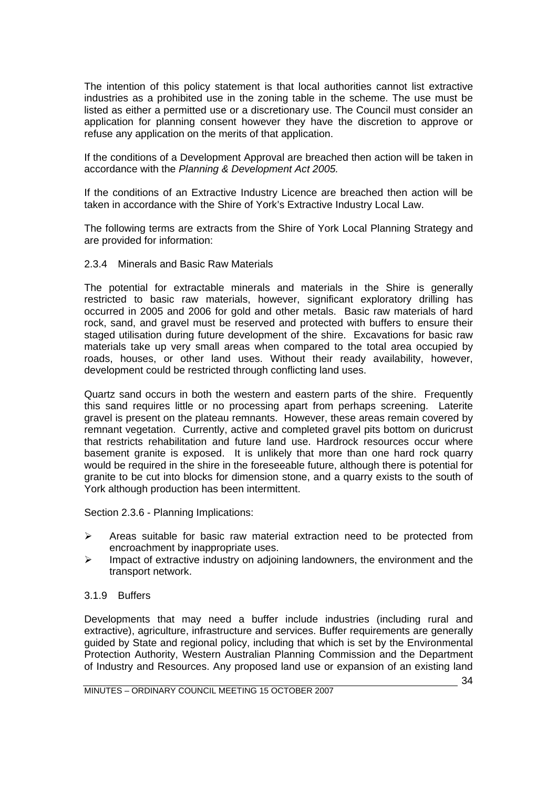The intention of this policy statement is that local authorities cannot list extractive industries as a prohibited use in the zoning table in the scheme. The use must be listed as either a permitted use or a discretionary use. The Council must consider an application for planning consent however they have the discretion to approve or refuse any application on the merits of that application.

If the conditions of a Development Approval are breached then action will be taken in accordance with the *Planning & Development Act 2005.*

If the conditions of an Extractive Industry Licence are breached then action will be taken in accordance with the Shire of York's Extractive Industry Local Law.

The following terms are extracts from the Shire of York Local Planning Strategy and are provided for information:

#### 2.3.4 Minerals and Basic Raw Materials

The potential for extractable minerals and materials in the Shire is generally restricted to basic raw materials, however, significant exploratory drilling has occurred in 2005 and 2006 for gold and other metals. Basic raw materials of hard rock, sand, and gravel must be reserved and protected with buffers to ensure their staged utilisation during future development of the shire. Excavations for basic raw materials take up very small areas when compared to the total area occupied by roads, houses, or other land uses. Without their ready availability, however, development could be restricted through conflicting land uses.

Quartz sand occurs in both the western and eastern parts of the shire. Frequently this sand requires little or no processing apart from perhaps screening. Laterite gravel is present on the plateau remnants. However, these areas remain covered by remnant vegetation. Currently, active and completed gravel pits bottom on duricrust that restricts rehabilitation and future land use. Hardrock resources occur where basement granite is exposed. It is unlikely that more than one hard rock quarry would be required in the shire in the foreseeable future, although there is potential for granite to be cut into blocks for dimension stone, and a quarry exists to the south of York although production has been intermittent.

Section 2.3.6 - Planning Implications:

- $\triangleright$  Areas suitable for basic raw material extraction need to be protected from encroachment by inappropriate uses.
- $\triangleright$  Impact of extractive industry on adjoining landowners, the environment and the transport network.

#### 3.1.9 Buffers

Developments that may need a buffer include industries (including rural and extractive), agriculture, infrastructure and services. Buffer requirements are generally guided by State and regional policy, including that which is set by the Environmental Protection Authority, Western Australian Planning Commission and the Department of Industry and Resources. Any proposed land use or expansion of an existing land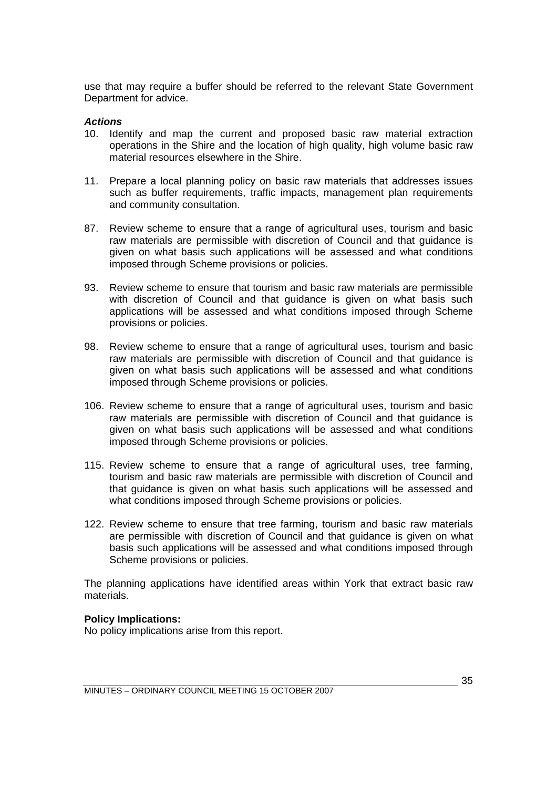use that may require a buffer should be referred to the relevant State Government Department for advice.

#### *Actions*

- 10. Identify and map the current and proposed basic raw material extraction operations in the Shire and the location of high quality, high volume basic raw material resources elsewhere in the Shire.
- 11. Prepare a local planning policy on basic raw materials that addresses issues such as buffer requirements, traffic impacts, management plan requirements and community consultation.
- 87. Review scheme to ensure that a range of agricultural uses, tourism and basic raw materials are permissible with discretion of Council and that guidance is given on what basis such applications will be assessed and what conditions imposed through Scheme provisions or policies.
- 93. Review scheme to ensure that tourism and basic raw materials are permissible with discretion of Council and that guidance is given on what basis such applications will be assessed and what conditions imposed through Scheme provisions or policies.
- 98. Review scheme to ensure that a range of agricultural uses, tourism and basic raw materials are permissible with discretion of Council and that guidance is given on what basis such applications will be assessed and what conditions imposed through Scheme provisions or policies.
- 106. Review scheme to ensure that a range of agricultural uses, tourism and basic raw materials are permissible with discretion of Council and that guidance is given on what basis such applications will be assessed and what conditions imposed through Scheme provisions or policies.
- 115. Review scheme to ensure that a range of agricultural uses, tree farming, tourism and basic raw materials are permissible with discretion of Council and that guidance is given on what basis such applications will be assessed and what conditions imposed through Scheme provisions or policies.
- 122. Review scheme to ensure that tree farming, tourism and basic raw materials are permissible with discretion of Council and that guidance is given on what basis such applications will be assessed and what conditions imposed through Scheme provisions or policies.

The planning applications have identified areas within York that extract basic raw materials.

#### **Policy Implications:**

No policy implications arise from this report.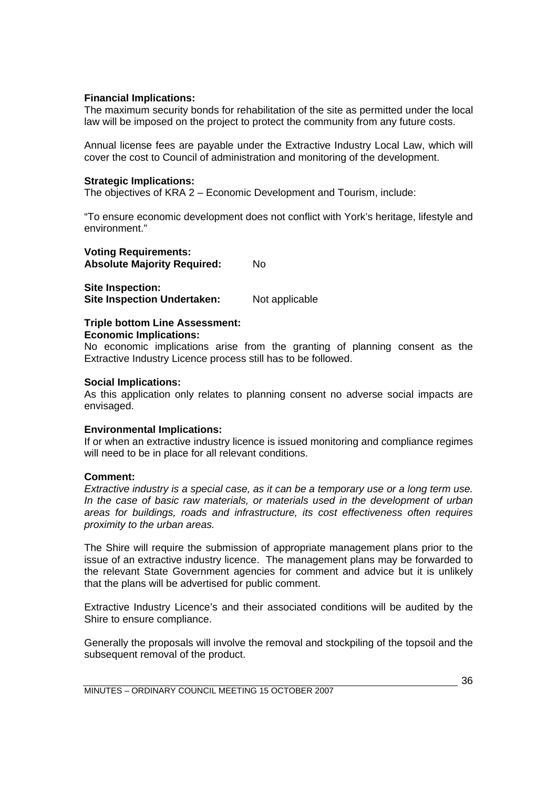#### **Financial Implications:**

The maximum security bonds for rehabilitation of the site as permitted under the local law will be imposed on the project to protect the community from any future costs.

Annual license fees are payable under the Extractive Industry Local Law, which will cover the cost to Council of administration and monitoring of the development.

#### **Strategic Implications:**

The objectives of KRA 2 – Economic Development and Tourism, include:

"To ensure economic development does not conflict with York's heritage, lifestyle and environment."

#### **Voting Requirements: Absolute Majority Required:** No

**Site Inspection: Site Inspection Undertaken:** Not applicable

#### **Triple bottom Line Assessment:**

#### **Economic Implications:**

No economic implications arise from the granting of planning consent as the Extractive Industry Licence process still has to be followed.

#### **Social Implications:**

As this application only relates to planning consent no adverse social impacts are envisaged.

#### **Environmental Implications:**

If or when an extractive industry licence is issued monitoring and compliance regimes will need to be in place for all relevant conditions.

#### **Comment:**

*Extractive industry is a special case, as it can be a temporary use or a long term use. In the case of basic raw materials, or materials used in the development of urban areas for buildings, roads and infrastructure, its cost effectiveness often requires proximity to the urban areas.* 

The Shire will require the submission of appropriate management plans prior to the issue of an extractive industry licence. The management plans may be forwarded to the relevant State Government agencies for comment and advice but it is unlikely that the plans will be advertised for public comment.

Extractive Industry Licence's and their associated conditions will be audited by the Shire to ensure compliance.

Generally the proposals will involve the removal and stockpiling of the topsoil and the subsequent removal of the product.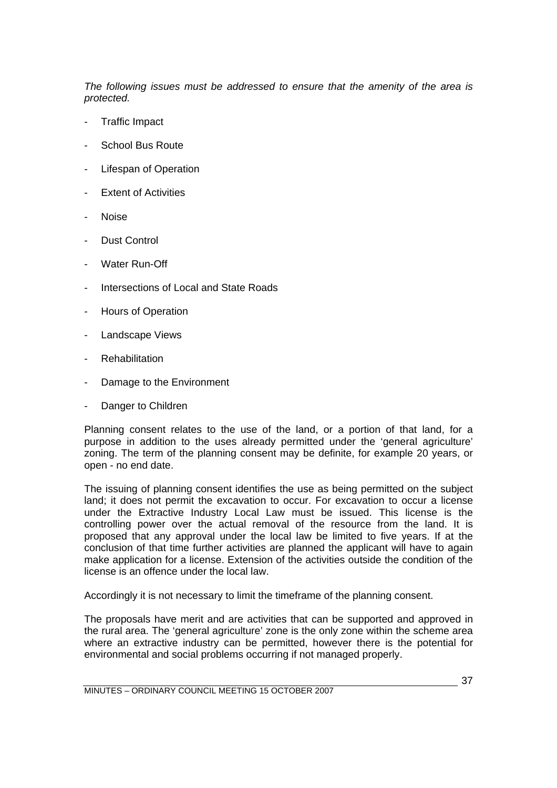*The following issues must be addressed to ensure that the amenity of the area is protected.* 

- Traffic Impact
- School Bus Route
- Lifespan of Operation
- **Extent of Activities**
- Noise
- Dust Control
- Water Run-Off
- Intersections of Local and State Roads
- Hours of Operation
- Landscape Views
- **Rehabilitation**
- Damage to the Environment
- Danger to Children

Planning consent relates to the use of the land, or a portion of that land, for a purpose in addition to the uses already permitted under the 'general agriculture' zoning. The term of the planning consent may be definite, for example 20 years, or open - no end date.

The issuing of planning consent identifies the use as being permitted on the subject land; it does not permit the excavation to occur. For excavation to occur a license under the Extractive Industry Local Law must be issued. This license is the controlling power over the actual removal of the resource from the land. It is proposed that any approval under the local law be limited to five years. If at the conclusion of that time further activities are planned the applicant will have to again make application for a license. Extension of the activities outside the condition of the license is an offence under the local law.

Accordingly it is not necessary to limit the timeframe of the planning consent.

The proposals have merit and are activities that can be supported and approved in the rural area. The 'general agriculture' zone is the only zone within the scheme area where an extractive industry can be permitted, however there is the potential for environmental and social problems occurring if not managed properly.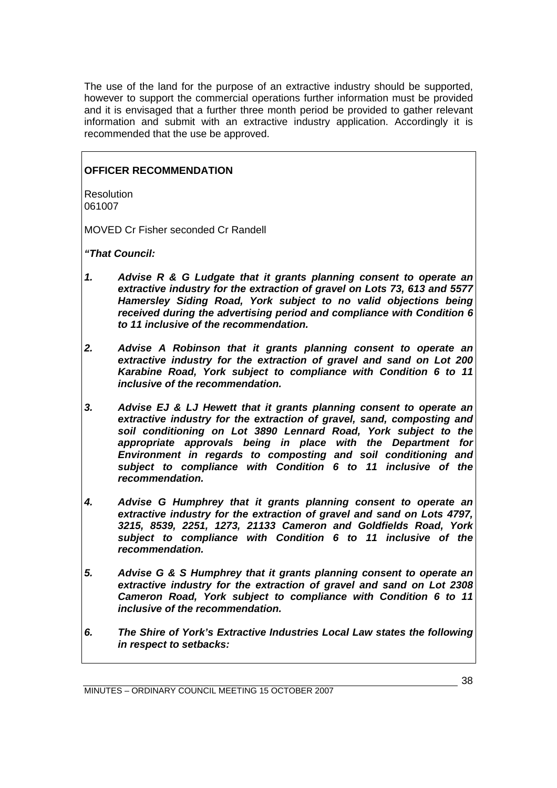The use of the land for the purpose of an extractive industry should be supported, however to support the commercial operations further information must be provided and it is envisaged that a further three month period be provided to gather relevant information and submit with an extractive industry application. Accordingly it is recommended that the use be approved.

## **OFFICER RECOMMENDATION**

Resolution 061007

MOVED Cr Fisher seconded Cr Randell

*"That Council:* 

- *1. Advise R & G Ludgate that it grants planning consent to operate an extractive industry for the extraction of gravel on Lots 73, 613 and 5577 Hamersley Siding Road, York subject to no valid objections being received during the advertising period and compliance with Condition 6 to 11 inclusive of the recommendation.*
- *2. Advise A Robinson that it grants planning consent to operate an extractive industry for the extraction of gravel and sand on Lot 200 Karabine Road, York subject to compliance with Condition 6 to 11 inclusive of the recommendation.*
- *3. Advise EJ & LJ Hewett that it grants planning consent to operate an extractive industry for the extraction of gravel, sand, composting and soil conditioning on Lot 3890 Lennard Road, York subject to the appropriate approvals being in place with the Department for Environment in regards to composting and soil conditioning and subject to compliance with Condition 6 to 11 inclusive of the recommendation.*
- *4. Advise G Humphrey that it grants planning consent to operate an extractive industry for the extraction of gravel and sand on Lots 4797, 3215, 8539, 2251, 1273, 21133 Cameron and Goldfields Road, York subject to compliance with Condition 6 to 11 inclusive of the recommendation.*
- *5. Advise G & S Humphrey that it grants planning consent to operate an extractive industry for the extraction of gravel and sand on Lot 2308 Cameron Road, York subject to compliance with Condition 6 to 11 inclusive of the recommendation.*
- *6. The Shire of York's Extractive Industries Local Law states the following in respect to setbacks:*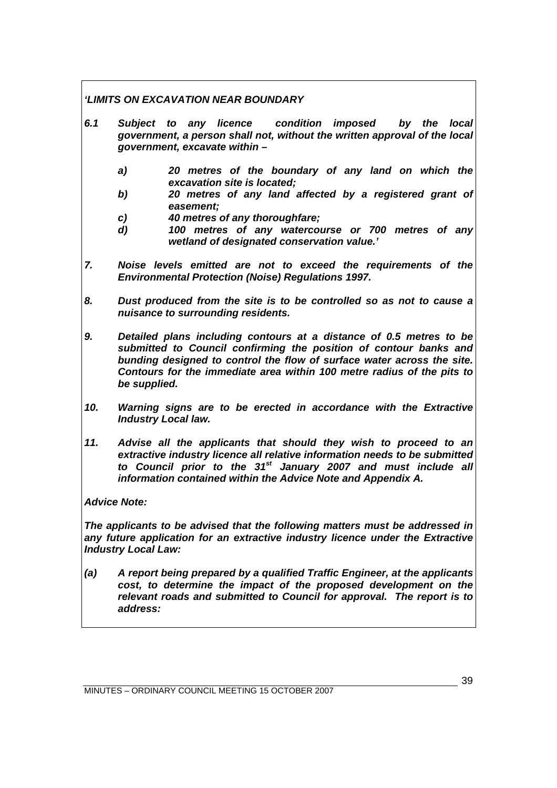## *'LIMITS ON EXCAVATION NEAR BOUNDARY*

- *6.1 Subject to any licence condition imposed by the local government, a person shall not, without the written approval of the local government, excavate within –* 
	- *a) 20 metres of the boundary of any land on which the excavation site is located;*
	- *b) 20 metres of any land affected by a registered grant of easement;*
	- *c) 40 metres of any thoroughfare;*
	- *d) 100 metres of any watercourse or 700 metres of any wetland of designated conservation value.'*
- *7. Noise levels emitted are not to exceed the requirements of the Environmental Protection (Noise) Regulations 1997.*
- *8. Dust produced from the site is to be controlled so as not to cause a nuisance to surrounding residents.*
- *9. Detailed plans including contours at a distance of 0.5 metres to be submitted to Council confirming the position of contour banks and bunding designed to control the flow of surface water across the site. Contours for the immediate area within 100 metre radius of the pits to be supplied.*
- *10. Warning signs are to be erected in accordance with the Extractive Industry Local law.*
- *11. Advise all the applicants that should they wish to proceed to an extractive industry licence all relative information needs to be submitted to Council prior to the 31st January 2007 and must include all information contained within the Advice Note and Appendix A.*

## *Advice Note:*

*The applicants to be advised that the following matters must be addressed in any future application for an extractive industry licence under the Extractive Industry Local Law:* 

*(a) A report being prepared by a qualified Traffic Engineer, at the applicants cost, to determine the impact of the proposed development on the relevant roads and submitted to Council for approval. The report is to address:*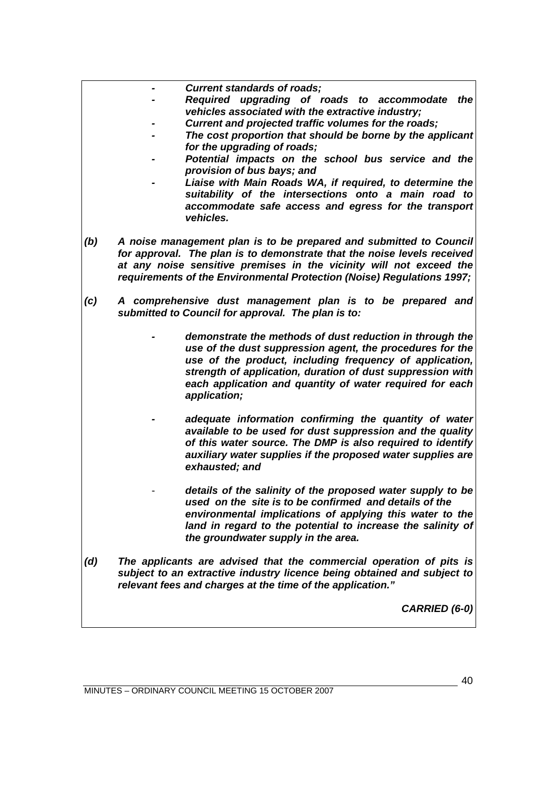- *Current standards of roads;*
- *Required upgrading of roads to accommodate the vehicles associated with the extractive industry;*
- *Current and projected traffic volumes for the roads;*
- The cost proportion that should be borne by the applicant  *for the upgrading of roads;*
- *Potential impacts on the school bus service and the provision of bus bays; and*
- Liaise with Main Roads WA, if required, to determine the  *suitability of the intersections onto a main road to accommodate safe access and egress for the transport vehicles.*
- *(b) A noise management plan is to be prepared and submitted to Council for approval. The plan is to demonstrate that the noise levels received at any noise sensitive premises in the vicinity will not exceed the requirements of the Environmental Protection (Noise) Regulations 1997;*
- *(c) A comprehensive dust management plan is to be prepared and submitted to Council for approval. The plan is to:* 
	- *demonstrate the methods of dust reduction in through the use of the dust suppression agent, the procedures for the use of the product, including frequency of application, strength of application, duration of dust suppression with each application and quantity of water required for each application;* 
		- *adequate information confirming the quantity of water available to be used for dust suppression and the quality of this water source. The DMP is also required to identify auxiliary water supplies if the proposed water supplies are exhausted; and*
	- details of the salinity of the proposed water supply to be  *used on the site is to be confirmed and details of the environmental implications of applying this water to the*  land in regard to the potential to increase the salinity of  *the groundwater supply in the area.*
- *(d) The applicants are advised that the commercial operation of pits is subject to an extractive industry licence being obtained and subject to relevant fees and charges at the time of the application."*

*CARRIED (6-0)*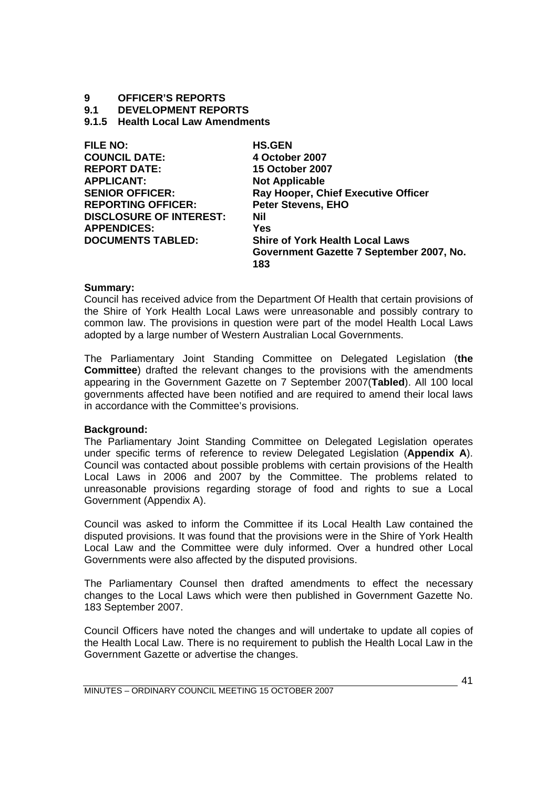# **9 OFFICER'S REPORTS**

**9.1 DEVELOPMENT REPORTS** 

**9.1.5 Health Local Law Amendments** 

| <b>FILE NO:</b>                | <b>HS.GEN</b>                              |
|--------------------------------|--------------------------------------------|
| <b>COUNCIL DATE:</b>           | 4 October 2007                             |
| <b>REPORT DATE:</b>            | <b>15 October 2007</b>                     |
| <b>APPLICANT:</b>              | <b>Not Applicable</b>                      |
| <b>SENIOR OFFICER:</b>         | <b>Ray Hooper, Chief Executive Officer</b> |
| <b>REPORTING OFFICER:</b>      | <b>Peter Stevens, EHO</b>                  |
| <b>DISCLOSURE OF INTEREST:</b> | Nil                                        |
| <b>APPENDICES:</b>             | <b>Yes</b>                                 |
| <b>DOCUMENTS TABLED:</b>       | <b>Shire of York Health Local Laws</b>     |
|                                | Government Gazette 7 September 2007, No.   |
|                                | 183                                        |

## **Summary:**

Council has received advice from the Department Of Health that certain provisions of the Shire of York Health Local Laws were unreasonable and possibly contrary to common law. The provisions in question were part of the model Health Local Laws adopted by a large number of Western Australian Local Governments.

The Parliamentary Joint Standing Committee on Delegated Legislation (**the Committee**) drafted the relevant changes to the provisions with the amendments appearing in the Government Gazette on 7 September 2007(**Tabled**). All 100 local governments affected have been notified and are required to amend their local laws in accordance with the Committee's provisions.

## **Background:**

The Parliamentary Joint Standing Committee on Delegated Legislation operates under specific terms of reference to review Delegated Legislation (**Appendix A**). Council was contacted about possible problems with certain provisions of the Health Local Laws in 2006 and 2007 by the Committee. The problems related to unreasonable provisions regarding storage of food and rights to sue a Local Government (Appendix A).

Council was asked to inform the Committee if its Local Health Law contained the disputed provisions. It was found that the provisions were in the Shire of York Health Local Law and the Committee were duly informed. Over a hundred other Local Governments were also affected by the disputed provisions.

The Parliamentary Counsel then drafted amendments to effect the necessary changes to the Local Laws which were then published in Government Gazette No. 183 September 2007.

Council Officers have noted the changes and will undertake to update all copies of the Health Local Law. There is no requirement to publish the Health Local Law in the Government Gazette or advertise the changes.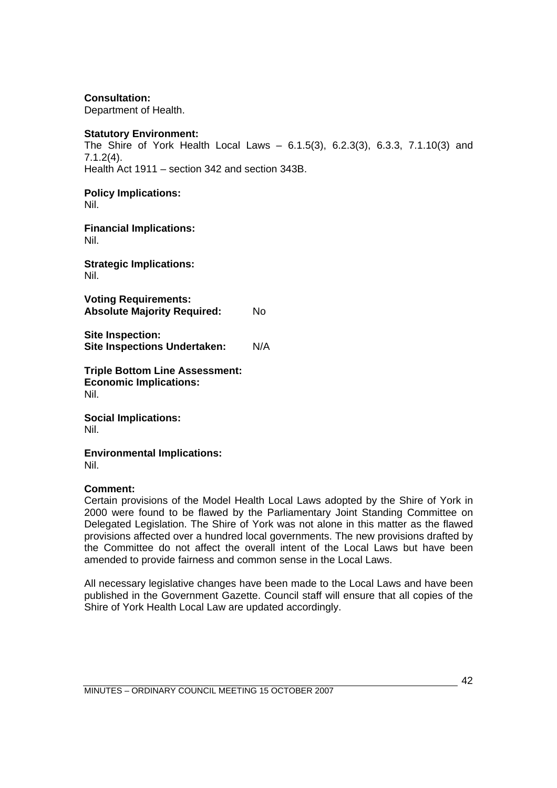**Consultation:** 

Department of Health.

## **Statutory Environment:**

The Shire of York Health Local Laws – 6.1.5(3), 6.2.3(3), 6.3.3, 7.1.10(3) and 7.1.2(4). Health Act 1911 – section 342 and section 343B.

## **Policy Implications:**

Nil.

**Financial Implications:**  Nil.

**Strategic Implications:**  Nil.

**Voting Requirements: Absolute Majority Required:** No

**Site Inspection: Site Inspections Undertaken:** N/A

**Triple Bottom Line Assessment: Economic Implications:**  Nil.

**Social Implications:**  Nil.

**Environmental Implications:** Nil.

## **Comment:**

Certain provisions of the Model Health Local Laws adopted by the Shire of York in 2000 were found to be flawed by the Parliamentary Joint Standing Committee on Delegated Legislation. The Shire of York was not alone in this matter as the flawed provisions affected over a hundred local governments. The new provisions drafted by the Committee do not affect the overall intent of the Local Laws but have been amended to provide fairness and common sense in the Local Laws.

All necessary legislative changes have been made to the Local Laws and have been published in the Government Gazette. Council staff will ensure that all copies of the Shire of York Health Local Law are updated accordingly.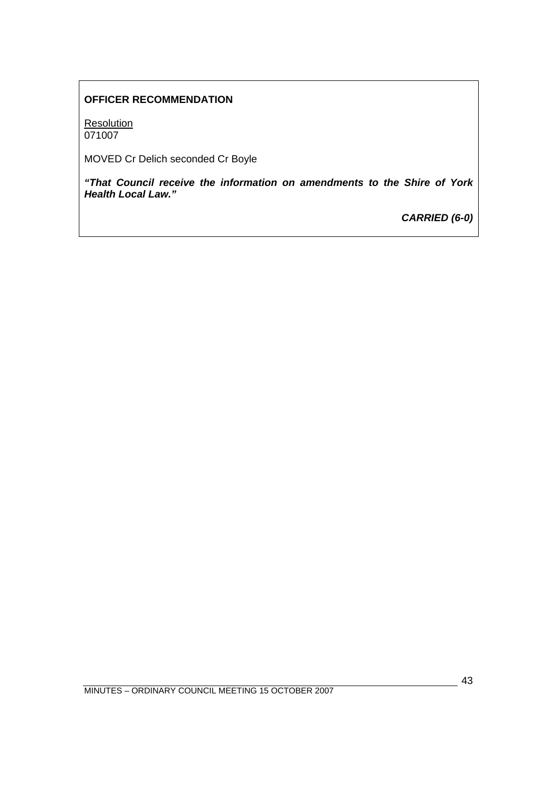# **OFFICER RECOMMENDATION**

**Resolution** 071007

MOVED Cr Delich seconded Cr Boyle

*"That Council receive the information on amendments to the Shire of York Health Local Law."* 

*CARRIED (6-0)*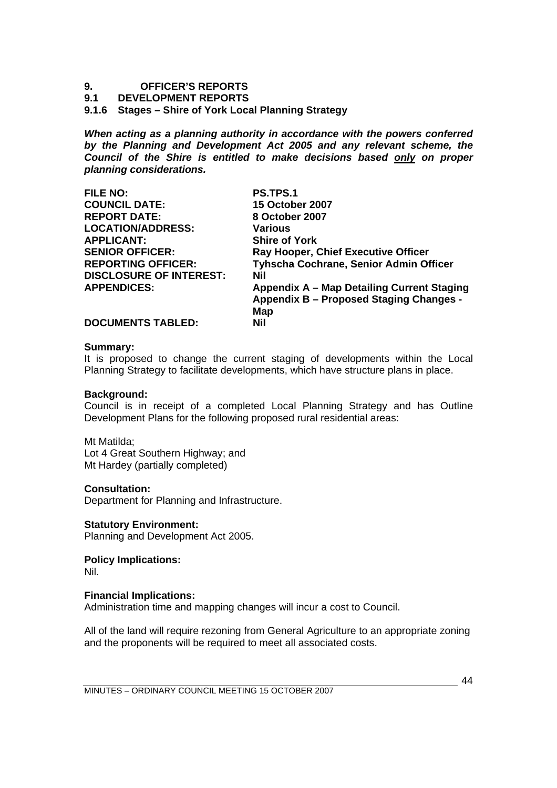# **9. OFFICER'S REPORTS**

## **9.1 DEVELOPMENT REPORTS**

## **9.1.6 Stages – Shire of York Local Planning Strategy**

*When acting as a planning authority in accordance with the powers conferred by the Planning and Development Act 2005 and any relevant scheme, the Council of the Shire is entitled to make decisions based only on proper planning considerations.* 

| <b>FILE NO:</b>                | <b>PS.TPS.1</b>                                |
|--------------------------------|------------------------------------------------|
| <b>COUNCIL DATE:</b>           | <b>15 October 2007</b>                         |
| <b>REPORT DATE:</b>            | 8 October 2007                                 |
| <b>LOCATION/ADDRESS:</b>       | Various                                        |
| <b>APPLICANT:</b>              | <b>Shire of York</b>                           |
| <b>SENIOR OFFICER:</b>         | Ray Hooper, Chief Executive Officer            |
| <b>REPORTING OFFICER:</b>      | Tyhscha Cochrane, Senior Admin Officer         |
| <b>DISCLOSURE OF INTEREST:</b> | Nil                                            |
| <b>APPENDICES:</b>             | Appendix A – Map Detailing Current Staging     |
|                                | <b>Appendix B - Proposed Staging Changes -</b> |
|                                | Map                                            |
| <b>DOCUMENTS TABLED:</b>       | Nil                                            |

#### **Summary:**

It is proposed to change the current staging of developments within the Local Planning Strategy to facilitate developments, which have structure plans in place.

#### **Background:**

Council is in receipt of a completed Local Planning Strategy and has Outline Development Plans for the following proposed rural residential areas:

Mt Matilda; Lot 4 Great Southern Highway; and Mt Hardey (partially completed)

## **Consultation:**

Department for Planning and Infrastructure.

**Statutory Environment:**  Planning and Development Act 2005.

**Policy Implications:** 

Nil.

## **Financial Implications:**

Administration time and mapping changes will incur a cost to Council.

All of the land will require rezoning from General Agriculture to an appropriate zoning and the proponents will be required to meet all associated costs.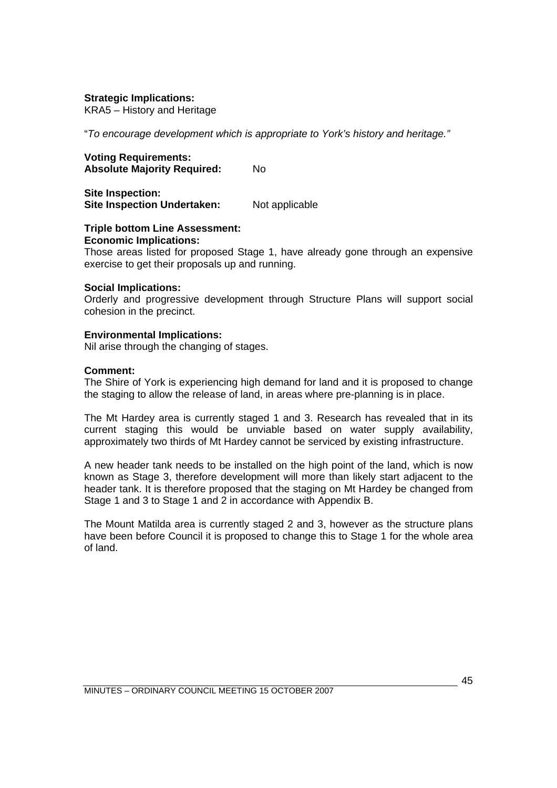## **Strategic Implications:**

KRA5 – History and Heritage

"*To encourage development which is appropriate to York's history and heritage."* 

#### **Voting Requirements: Absolute Majority Required:** No

**Site Inspection:** 

**Site Inspection Undertaken:** Not applicable

#### **Triple bottom Line Assessment: Economic Implications:**

Those areas listed for proposed Stage 1, have already gone through an expensive exercise to get their proposals up and running.

## **Social Implications:**

Orderly and progressive development through Structure Plans will support social cohesion in the precinct.

## **Environmental Implications:**

Nil arise through the changing of stages.

## **Comment:**

The Shire of York is experiencing high demand for land and it is proposed to change the staging to allow the release of land, in areas where pre-planning is in place.

The Mt Hardey area is currently staged 1 and 3. Research has revealed that in its current staging this would be unviable based on water supply availability, approximately two thirds of Mt Hardey cannot be serviced by existing infrastructure.

A new header tank needs to be installed on the high point of the land, which is now known as Stage 3, therefore development will more than likely start adjacent to the header tank. It is therefore proposed that the staging on Mt Hardey be changed from Stage 1 and 3 to Stage 1 and 2 in accordance with Appendix B.

The Mount Matilda area is currently staged 2 and 3, however as the structure plans have been before Council it is proposed to change this to Stage 1 for the whole area of land.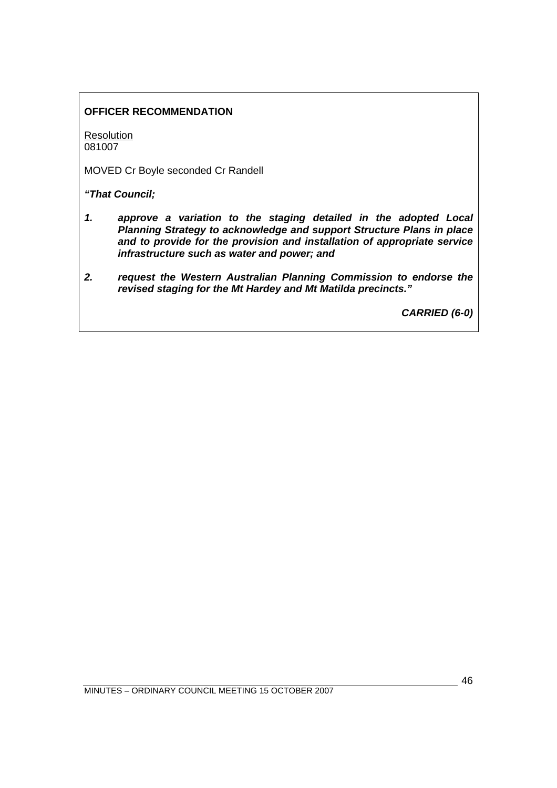# **OFFICER RECOMMENDATION**

**Resolution** 081007

MOVED Cr Boyle seconded Cr Randell

*"That Council;* 

- *1. approve a variation to the staging detailed in the adopted Local Planning Strategy to acknowledge and support Structure Plans in place and to provide for the provision and installation of appropriate service infrastructure such as water and power; and*
- *2. request the Western Australian Planning Commission to endorse the revised staging for the Mt Hardey and Mt Matilda precincts."*

*CARRIED (6-0)*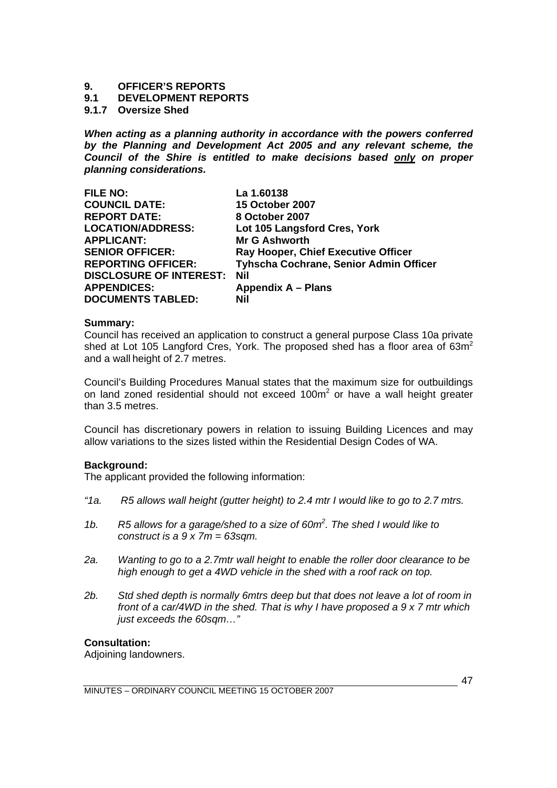# **9. OFFICER'S REPORTS**

## **9.1 DEVELOPMENT REPORTS**

## **9.1.7 Oversize Shed**

*When acting as a planning authority in accordance with the powers conferred by the Planning and Development Act 2005 and any relevant scheme, the Council of the Shire is entitled to make decisions based only on proper planning considerations.* 

| <b>FILE NO:</b>                | La 1.60138                             |
|--------------------------------|----------------------------------------|
| <b>COUNCIL DATE:</b>           | <b>15 October 2007</b>                 |
| <b>REPORT DATE:</b>            | 8 October 2007                         |
| <b>LOCATION/ADDRESS:</b>       | Lot 105 Langsford Cres, York           |
| <b>APPLICANT:</b>              | <b>Mr G Ashworth</b>                   |
| <b>SENIOR OFFICER:</b>         | Ray Hooper, Chief Executive Officer    |
| <b>REPORTING OFFICER:</b>      | Tyhscha Cochrane, Senior Admin Officer |
| <b>DISCLOSURE OF INTEREST:</b> | <b>Nil</b>                             |
| <b>APPENDICES:</b>             | Appendix A – Plans                     |
| <b>DOCUMENTS TABLED:</b>       | Nil                                    |

## **Summary:**

Council has received an application to construct a general purpose Class 10a private shed at Lot 105 Langford Cres. York. The proposed shed has a floor area of  $63m^2$ and a wall height of 2.7 metres.

Council's Building Procedures Manual states that the maximum size for outbuildings on land zoned residential should not exceed 100 $m<sup>2</sup>$  or have a wall height greater than 3.5 metres.

Council has discretionary powers in relation to issuing Building Licences and may allow variations to the sizes listed within the Residential Design Codes of WA.

## **Background:**

The applicant provided the following information:

- *"1a. R5 allows wall height (gutter height) to 2.4 mtr I would like to go to 2.7 mtrs.*
- *1b. R5 allows for a garage/shed to a size of 60m2 . The shed I would like to construct is a 9 x 7m = 63sqm.*
- *2a. Wanting to go to a 2.7mtr wall height to enable the roller door clearance to be high enough to get a 4WD vehicle in the shed with a roof rack on top.*
- *2b. Std shed depth is normally 6mtrs deep but that does not leave a lot of room in front of a car/4WD in the shed. That is why I have proposed a 9 x 7 mtr which just exceeds the 60sqm…"*

## **Consultation:**

Adjoining landowners.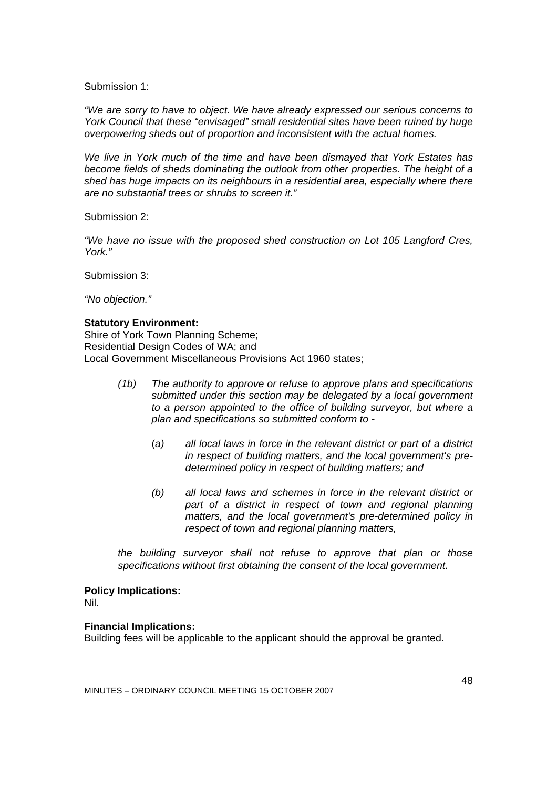Submission 1:

*"We are sorry to have to object. We have already expressed our serious concerns to York Council that these "envisaged" small residential sites have been ruined by huge overpowering sheds out of proportion and inconsistent with the actual homes.* 

*We live in York much of the time and have been dismayed that York Estates has become fields of sheds dominating the outlook from other properties. The height of a shed has huge impacts on its neighbours in a residential area, especially where there are no substantial trees or shrubs to screen it."* 

Submission 2:

*"We have no issue with the proposed shed construction on Lot 105 Langford Cres, York."* 

Submission 3:

*"No objection."* 

## **Statutory Environment:**

Shire of York Town Planning Scheme; Residential Design Codes of WA; and Local Government Miscellaneous Provisions Act 1960 states;

- *(1b) The authority to approve or refuse to approve plans and specifications submitted under this section may be delegated by a local government to a person appointed to the office of building surveyor, but where a plan and specifications so submitted conform to -* 
	- (*a) all local laws in force in the relevant district or part of a district in respect of building matters, and the local government's predetermined policy in respect of building matters; and*
	- *(b) all local laws and schemes in force in the relevant district or*  part of a district in respect of town and regional planning *matters, and the local government's pre-determined policy in respect of town and regional planning matters,*

*the building surveyor shall not refuse to approve that plan or those specifications without first obtaining the consent of the local government.*

## **Policy Implications:**

Nil.

## **Financial Implications:**

Building fees will be applicable to the applicant should the approval be granted.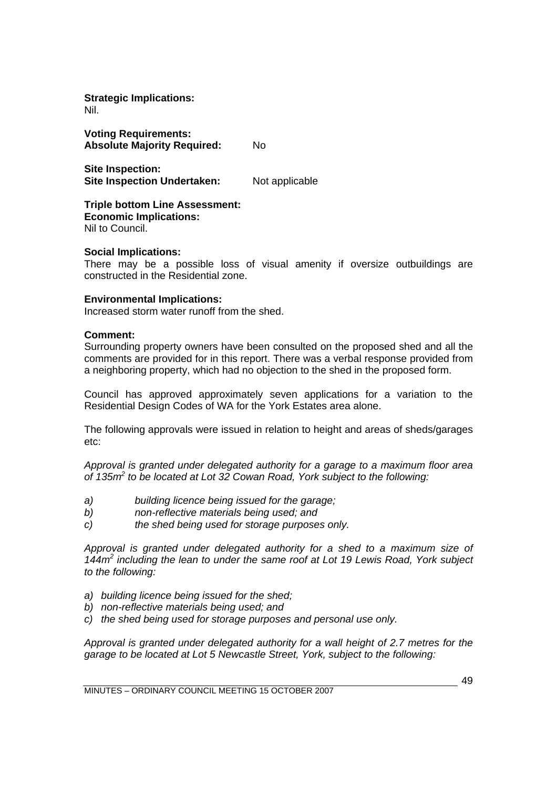**Strategic Implications:**  Nil.

**Voting Requirements: Absolute Majority Required:** No

**Site Inspection: Site Inspection Undertaken:** Not applicable

**Triple bottom Line Assessment: Economic Implications:**  Nil to Council.

## **Social Implications:**

There may be a possible loss of visual amenity if oversize outbuildings are constructed in the Residential zone.

## **Environmental Implications:**

Increased storm water runoff from the shed.

#### **Comment:**

Surrounding property owners have been consulted on the proposed shed and all the comments are provided for in this report. There was a verbal response provided from a neighboring property, which had no objection to the shed in the proposed form.

Council has approved approximately seven applications for a variation to the Residential Design Codes of WA for the York Estates area alone.

The following approvals were issued in relation to height and areas of sheds/garages etc:

*Approval is granted under delegated authority for a garage to a maximum floor area of 135m2 to be located at Lot 32 Cowan Road, York subject to the following:* 

- *a) building licence being issued for the garage;*
- *b) non-reflective materials being used; and*
- *c) the shed being used for storage purposes only.*

*Approval is granted under delegated authority for a shed to a maximum size of 144m2 including the lean to under the same roof at Lot 19 Lewis Road, York subject to the following:* 

- *a) building licence being issued for the shed;*
- *b) non-reflective materials being used; and*
- *c) the shed being used for storage purposes and personal use only.*

*Approval is granted under delegated authority for a wall height of 2.7 metres for the garage to be located at Lot 5 Newcastle Street, York, subject to the following:*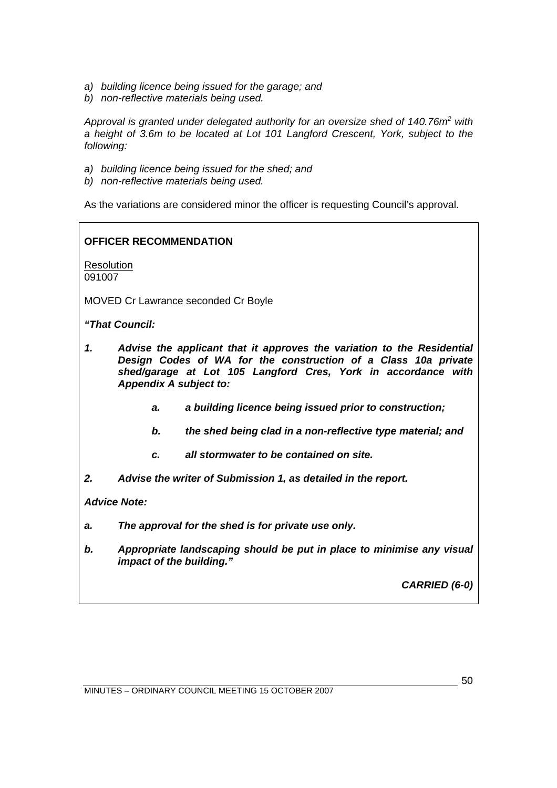- *a) building licence being issued for the garage; and*
- *b) non-reflective materials being used.*

Approval is granted under delegated authority for an oversize shed of 140.76m<sup>2</sup> with *a height of 3.6m to be located at Lot 101 Langford Crescent, York, subject to the following:* 

- *a) building licence being issued for the shed; and*
- *b) non-reflective materials being used.*

As the variations are considered minor the officer is requesting Council's approval.

## **OFFICER RECOMMENDATION**

**Resolution** 091007

MOVED Cr Lawrance seconded Cr Boyle

*"That Council:* 

- *1. Advise the applicant that it approves the variation to the Residential Design Codes of WA for the construction of a Class 10a private shed/garage at Lot 105 Langford Cres, York in accordance with Appendix A subject to:* 
	- *a. a building licence being issued prior to construction;*
	- *b. the shed being clad in a non-reflective type material; and*
	- *c. all stormwater to be contained on site.*
- *2. Advise the writer of Submission 1, as detailed in the report.*

*Advice Note:* 

- *a. The approval for the shed is for private use only.*
- *b. Appropriate landscaping should be put in place to minimise any visual impact of the building."*

*CARRIED (6-0)*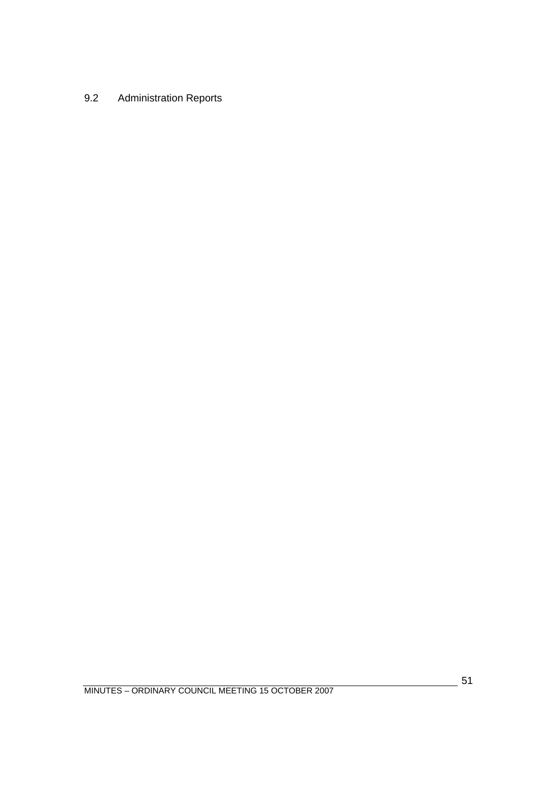# 9.2 Administration Reports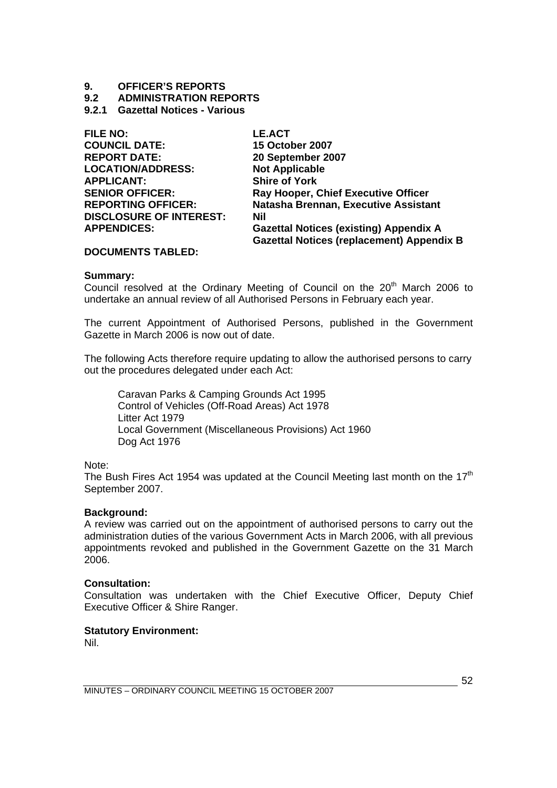# **9. OFFICER'S REPORTS**

**9.2 ADMINISTRATION REPORTS** 

## **9.2.1 Gazettal Notices - Various**

| <b>FILE NO:</b>                | <b>LE.ACT</b>                                    |
|--------------------------------|--------------------------------------------------|
| <b>COUNCIL DATE:</b>           | <b>15 October 2007</b>                           |
| <b>REPORT DATE:</b>            | 20 September 2007                                |
| <b>LOCATION/ADDRESS:</b>       | <b>Not Applicable</b>                            |
| <b>APPLICANT:</b>              | <b>Shire of York</b>                             |
| <b>SENIOR OFFICER:</b>         | Ray Hooper, Chief Executive Officer              |
| <b>REPORTING OFFICER:</b>      | Natasha Brennan, Executive Assistant             |
| <b>DISCLOSURE OF INTEREST:</b> | Nil                                              |
| <b>APPENDICES:</b>             | <b>Gazettal Notices (existing) Appendix A</b>    |
|                                | <b>Gazettal Notices (replacement) Appendix B</b> |
|                                |                                                  |

## **DOCUMENTS TABLED:**

## **Summary:**

Council resolved at the Ordinary Meeting of Council on the 20<sup>th</sup> March 2006 to undertake an annual review of all Authorised Persons in February each year.

The current Appointment of Authorised Persons, published in the Government Gazette in March 2006 is now out of date.

The following Acts therefore require updating to allow the authorised persons to carry out the procedures delegated under each Act:

 Caravan Parks & Camping Grounds Act 1995 Control of Vehicles (Off-Road Areas) Act 1978 Litter Act 1979 Local Government (Miscellaneous Provisions) Act 1960 Dog Act 1976

Note:

The Bush Fires Act 1954 was updated at the Council Meeting last month on the  $17<sup>th</sup>$ September 2007.

## **Background:**

A review was carried out on the appointment of authorised persons to carry out the administration duties of the various Government Acts in March 2006, with all previous appointments revoked and published in the Government Gazette on the 31 March 2006.

## **Consultation:**

Consultation was undertaken with the Chief Executive Officer, Deputy Chief Executive Officer & Shire Ranger.

## **Statutory Environment:**

Nil.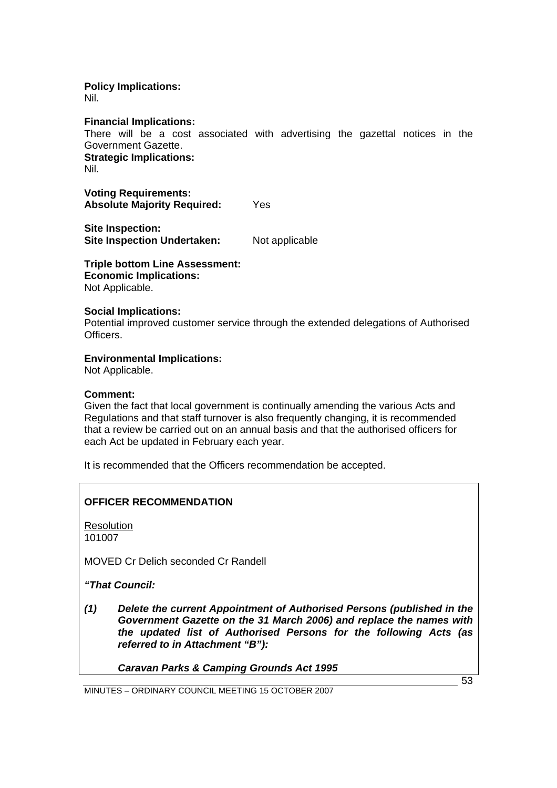# **Policy Implications:**

Nil.

**Financial Implications:** 

There will be a cost associated with advertising the gazettal notices in the Government Gazette. **Strategic Implications:**  Nil.

**Voting Requirements: Absolute Majority Required:** Yes

**Site Inspection: Site Inspection Undertaken:** Not applicable

**Triple bottom Line Assessment: Economic Implications:** 

Not Applicable.

## **Social Implications:**

Potential improved customer service through the extended delegations of Authorised **Officers** 

## **Environmental Implications:**

Not Applicable.

## **Comment:**

Given the fact that local government is continually amending the various Acts and Regulations and that staff turnover is also frequently changing, it is recommended that a review be carried out on an annual basis and that the authorised officers for each Act be updated in February each year.

It is recommended that the Officers recommendation be accepted.

## **OFFICER RECOMMENDATION**

**Resolution** 101007

MOVED Cr Delich seconded Cr Randell

*"That Council:* 

*(1) Delete the current Appointment of Authorised Persons (published in the Government Gazette on the 31 March 2006) and replace the names with the updated list of Authorised Persons for the following Acts (as referred to in Attachment "B"):* 

*Caravan Parks & Camping Grounds Act 1995* 

MINUTES – ORDINARY COUNCIL MEETING 15 OCTOBER 2007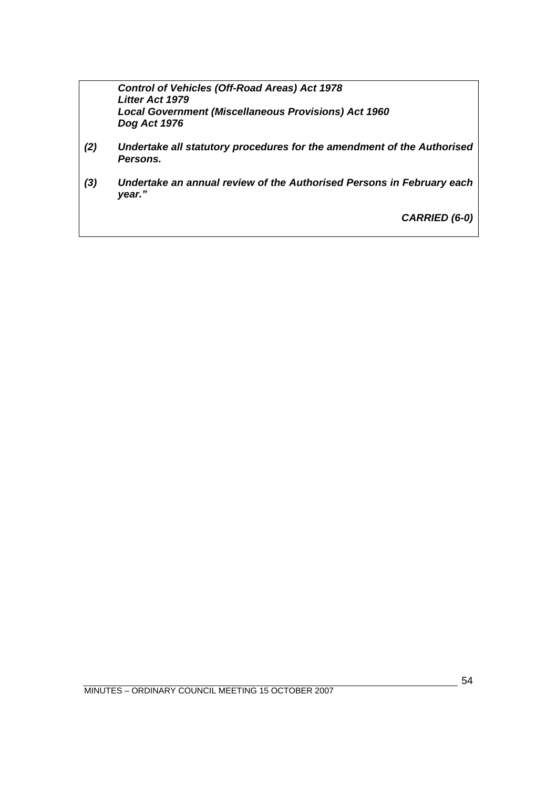*Control of Vehicles (Off-Road Areas) Act 1978 Litter Act 1979 Local Government (Miscellaneous Provisions) Act 1960 Dog Act 1976* 

- *(2) Undertake all statutory procedures for the amendment of the Authorised Persons.*
- *(3) Undertake an annual review of the Authorised Persons in February each year."*

*CARRIED (6-0)*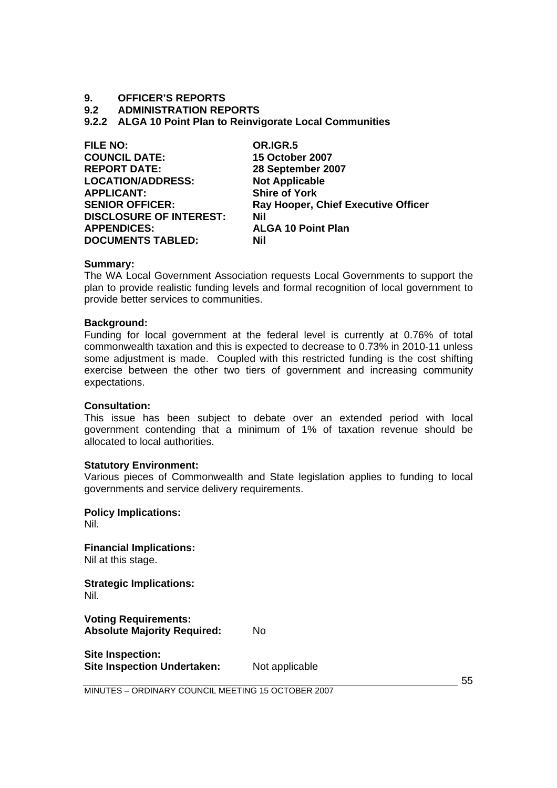## **9. OFFICER'S REPORTS**

**9.2 ADMINISTRATION REPORTS** 

**9.2.2 ALGA 10 Point Plan to Reinvigorate Local Communities** 

| <b>FILE NO:</b>                | OR.IGR.5                                   |
|--------------------------------|--------------------------------------------|
| <b>COUNCIL DATE:</b>           | <b>15 October 2007</b>                     |
| <b>REPORT DATE:</b>            | 28 September 2007                          |
| <b>LOCATION/ADDRESS:</b>       | <b>Not Applicable</b>                      |
| <b>APPLICANT:</b>              | <b>Shire of York</b>                       |
| <b>SENIOR OFFICER:</b>         | <b>Ray Hooper, Chief Executive Officer</b> |
| <b>DISCLOSURE OF INTEREST:</b> | <b>Nil</b>                                 |
| <b>APPENDICES:</b>             | <b>ALGA 10 Point Plan</b>                  |
| <b>DOCUMENTS TABLED:</b>       | Nil                                        |
|                                |                                            |

#### **Summary:**

The WA Local Government Association requests Local Governments to support the plan to provide realistic funding levels and formal recognition of local government to provide better services to communities.

#### **Background:**

Funding for local government at the federal level is currently at 0.76% of total commonwealth taxation and this is expected to decrease to 0.73% in 2010-11 unless some adjustment is made. Coupled with this restricted funding is the cost shifting exercise between the other two tiers of government and increasing community expectations.

## **Consultation:**

This issue has been subject to debate over an extended period with local government contending that a minimum of 1% of taxation revenue should be allocated to local authorities.

## **Statutory Environment:**

Various pieces of Commonwealth and State legislation applies to funding to local governments and service delivery requirements.

**Policy Implications:**  Nil. **Financial Implications:** 

Nil at this stage.

**Strategic Implications:**  Nil.

**Voting Requirements: Absolute Majority Required:** No

**Site Inspection: Site Inspection Undertaken:** Not applicable

55

MINUTES – ORDINARY COUNCIL MEETING 15 OCTOBER 2007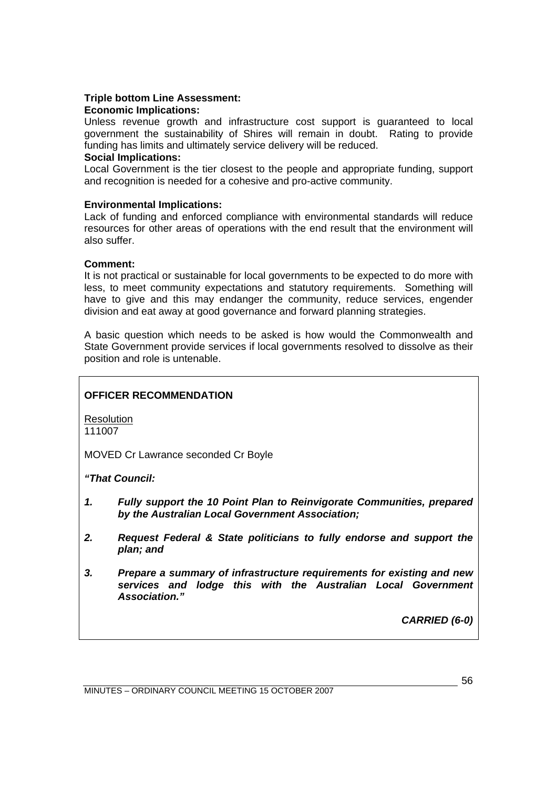## **Triple bottom Line Assessment:**

## **Economic Implications:**

Unless revenue growth and infrastructure cost support is guaranteed to local government the sustainability of Shires will remain in doubt. Rating to provide funding has limits and ultimately service delivery will be reduced.

## **Social Implications:**

Local Government is the tier closest to the people and appropriate funding, support and recognition is needed for a cohesive and pro-active community.

## **Environmental Implications:**

Lack of funding and enforced compliance with environmental standards will reduce resources for other areas of operations with the end result that the environment will also suffer.

## **Comment:**

It is not practical or sustainable for local governments to be expected to do more with less, to meet community expectations and statutory requirements. Something will have to give and this may endanger the community, reduce services, engender division and eat away at good governance and forward planning strategies.

A basic question which needs to be asked is how would the Commonwealth and State Government provide services if local governments resolved to dissolve as their position and role is untenable.

## **OFFICER RECOMMENDATION**

Resolution 111007

MOVED Cr Lawrance seconded Cr Boyle

## *"That Council:*

- *1. Fully support the 10 Point Plan to Reinvigorate Communities, prepared by the Australian Local Government Association;*
- *2. Request Federal & State politicians to fully endorse and support the plan; and*
- *3. Prepare a summary of infrastructure requirements for existing and new services and lodge this with the Australian Local Government Association."*

*CARRIED (6-0)* 

MINUTES – ORDINARY COUNCIL MEETING 15 OCTOBER 2007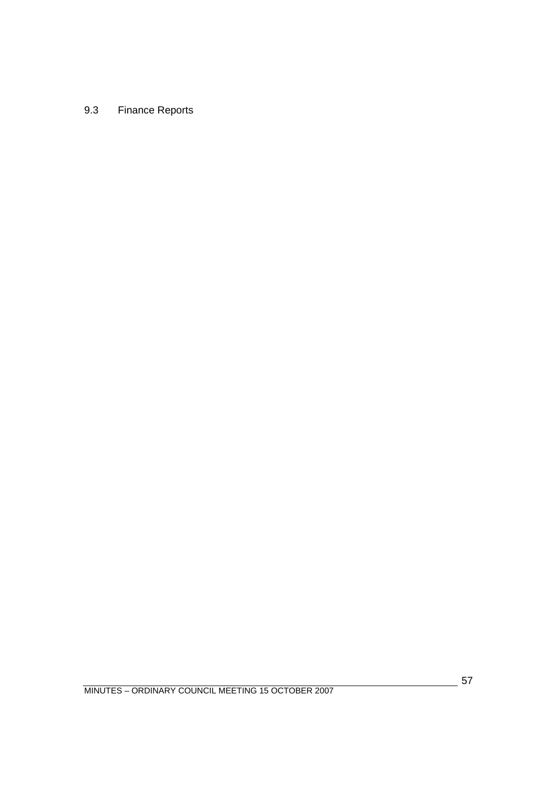# 9.3 Finance Reports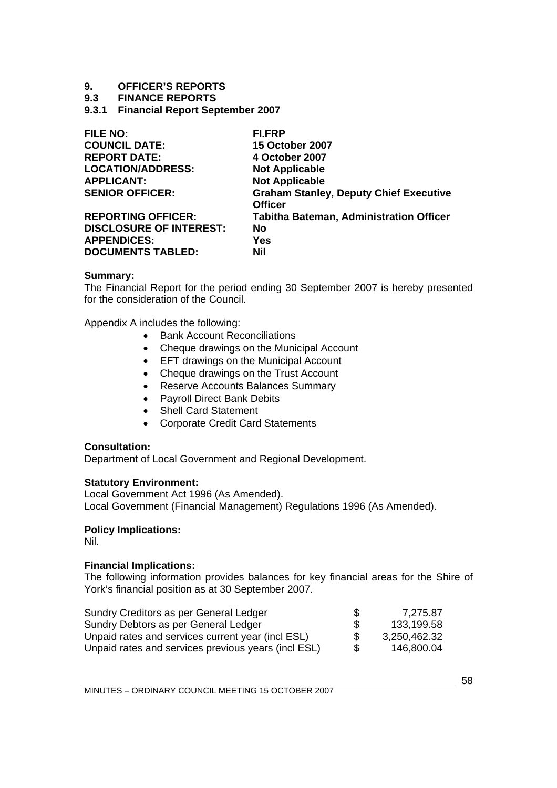# **9. OFFICER'S REPORTS**

## **9.3 FINANCE REPORTS**

**9.3.1 Financial Report September 2007** 

| <b>FILE NO:</b>                | FI.FRP                                         |
|--------------------------------|------------------------------------------------|
| <b>COUNCIL DATE:</b>           | <b>15 October 2007</b>                         |
| <b>REPORT DATE:</b>            | 4 October 2007                                 |
| <b>LOCATION/ADDRESS:</b>       | <b>Not Applicable</b>                          |
| <b>APPLICANT:</b>              | <b>Not Applicable</b>                          |
| <b>SENIOR OFFICER:</b>         | <b>Graham Stanley, Deputy Chief Executive</b>  |
|                                | <b>Officer</b>                                 |
| <b>REPORTING OFFICER:</b>      | <b>Tabitha Bateman, Administration Officer</b> |
| <b>DISCLOSURE OF INTEREST:</b> | <b>No</b>                                      |
| <b>APPENDICES:</b>             | <b>Yes</b>                                     |
| <b>DOCUMENTS TABLED:</b>       | Nil                                            |

#### **Summary:**

The Financial Report for the period ending 30 September 2007 is hereby presented for the consideration of the Council.

Appendix A includes the following:

- Bank Account Reconciliations
- Cheque drawings on the Municipal Account
- EFT drawings on the Municipal Account
- Cheque drawings on the Trust Account
- Reserve Accounts Balances Summary
- Payroll Direct Bank Debits
- Shell Card Statement
- Corporate Credit Card Statements

## **Consultation:**

Department of Local Government and Regional Development.

## **Statutory Environment:**

Local Government Act 1996 (As Amended). Local Government (Financial Management) Regulations 1996 (As Amended).

## **Policy Implications:**

Nil.

## **Financial Implications:**

The following information provides balances for key financial areas for the Shire of York's financial position as at 30 September 2007.

| Sundry Creditors as per General Ledger              | S   | 7,275.87     |
|-----------------------------------------------------|-----|--------------|
| Sundry Debtors as per General Ledger                | \$. | 133,199.58   |
| Unpaid rates and services current year (incl ESL)   | \$. | 3,250,462.32 |
| Unpaid rates and services previous years (incl ESL) | \$. | 146,800.04   |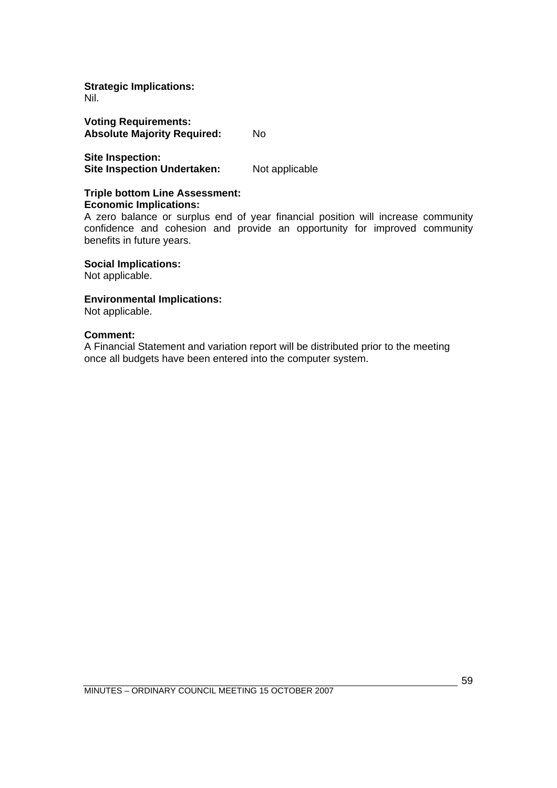#### **Strategic Implications:**  Nil.

**Voting Requirements: Absolute Majority Required:** No

**Site Inspection: Site Inspection Undertaken:** Not applicable

#### **Triple bottom Line Assessment: Economic Implications:**

A zero balance or surplus end of year financial position will increase community confidence and cohesion and provide an opportunity for improved community benefits in future years.

**Social Implications:** 

Not applicable.

## **Environmental Implications:**

Not applicable.

## **Comment:**

A Financial Statement and variation report will be distributed prior to the meeting once all budgets have been entered into the computer system.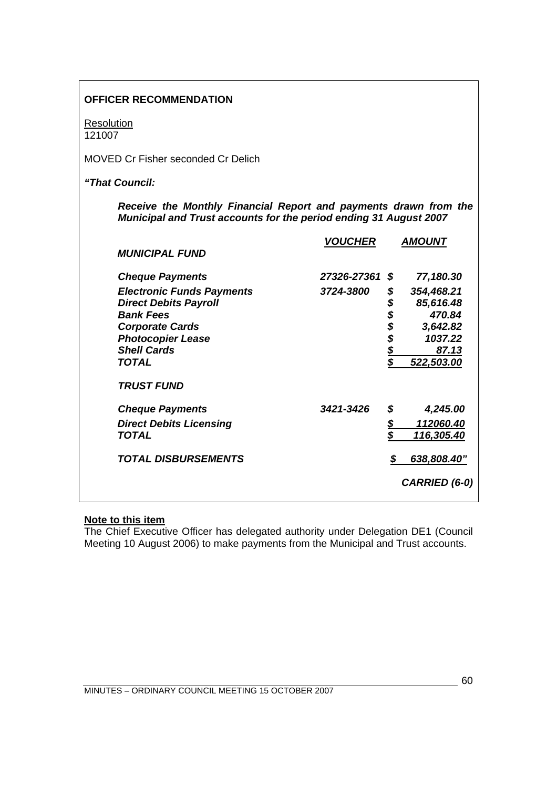| <b>OFFICER RECOMMENDATION</b>                                                                                                         |                |              |                   |
|---------------------------------------------------------------------------------------------------------------------------------------|----------------|--------------|-------------------|
| <b>Resolution</b><br>121007                                                                                                           |                |              |                   |
| <b>MOVED Cr Fisher seconded Cr Delich</b>                                                                                             |                |              |                   |
| "That Council:                                                                                                                        |                |              |                   |
| Receive the Monthly Financial Report and payments drawn from the<br>Municipal and Trust accounts for the period ending 31 August 2007 |                |              |                   |
| <b>MUNICIPAL FUND</b>                                                                                                                 | <b>VOUCHER</b> |              | <b>AMOUNT</b>     |
| <b>Cheque Payments</b>                                                                                                                | 27326-27361    | \$           | 77,180.30         |
| <b>Electronic Funds Payments</b>                                                                                                      | 3724-3800      | \$           | 354,468.21        |
| <b>Direct Debits Payroll</b>                                                                                                          |                |              | 85,616.48         |
| <b>Bank Fees</b>                                                                                                                      |                | \$\$\$\$\$\$ | 470.84            |
| <b>Corporate Cards</b>                                                                                                                |                |              | 3,642.82          |
| <b>Photocopier Lease</b>                                                                                                              |                |              | 1037.22           |
| <b>Shell Cards</b>                                                                                                                    |                |              | 87.13             |
| <b>TOTAL</b>                                                                                                                          |                |              | 522,503.00        |
| <b>TRUST FUND</b>                                                                                                                     |                |              |                   |
| <b>Cheque Payments</b>                                                                                                                | 3421-3426      | \$           | 4,245.00          |
| <b>Direct Debits Licensing</b>                                                                                                        |                | \$           | <u>112060.40</u>  |
| <b>TOTAL</b>                                                                                                                          |                | \$           | <u>116,305.40</u> |
| <b>TOTAL DISBURSEMENTS</b>                                                                                                            |                | \$           | 638,808.40"       |
|                                                                                                                                       |                |              | CARRIED (6-0)     |

## **Note to this item**

The Chief Executive Officer has delegated authority under Delegation DE1 (Council Meeting 10 August 2006) to make payments from the Municipal and Trust accounts.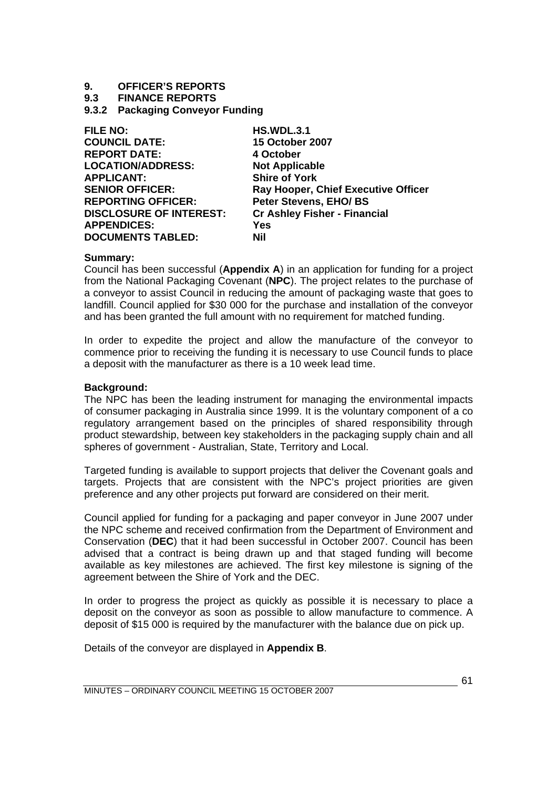# **9. OFFICER'S REPORTS**

## **9.3 FINANCE REPORTS**

**9.3.2 Packaging Conveyor Funding** 

| <b>HS.WDL.3.1</b>                   |
|-------------------------------------|
| <b>15 October 2007</b>              |
| 4 October                           |
| <b>Not Applicable</b>               |
| <b>Shire of York</b>                |
| Ray Hooper, Chief Executive Officer |
| <b>Peter Stevens, EHO/BS</b>        |
| <b>Cr Ashley Fisher - Financial</b> |
| Yes                                 |
| Nil                                 |
|                                     |

## **Summary:**

Council has been successful (**Appendix A**) in an application for funding for a project from the National Packaging Covenant (**NPC**). The project relates to the purchase of a conveyor to assist Council in reducing the amount of packaging waste that goes to landfill. Council applied for \$30 000 for the purchase and installation of the conveyor and has been granted the full amount with no requirement for matched funding.

In order to expedite the project and allow the manufacture of the conveyor to commence prior to receiving the funding it is necessary to use Council funds to place a deposit with the manufacturer as there is a 10 week lead time.

## **Background:**

The NPC has been the leading instrument for managing the environmental impacts of consumer packaging in Australia since 1999. It is the voluntary component of a co regulatory arrangement based on the principles of shared responsibility through product stewardship, between key stakeholders in the packaging supply chain and all spheres of government - Australian, State, Territory and Local.

Targeted funding is available to support projects that deliver the Covenant goals and targets. Projects that are consistent with the NPC's project priorities are given preference and any other projects put forward are considered on their merit.

Council applied for funding for a packaging and paper conveyor in June 2007 under the NPC scheme and received confirmation from the Department of Environment and Conservation (**DEC**) that it had been successful in October 2007. Council has been advised that a contract is being drawn up and that staged funding will become available as key milestones are achieved. The first key milestone is signing of the agreement between the Shire of York and the DEC.

In order to progress the project as quickly as possible it is necessary to place a deposit on the conveyor as soon as possible to allow manufacture to commence. A deposit of \$15 000 is required by the manufacturer with the balance due on pick up.

Details of the conveyor are displayed in **Appendix B**.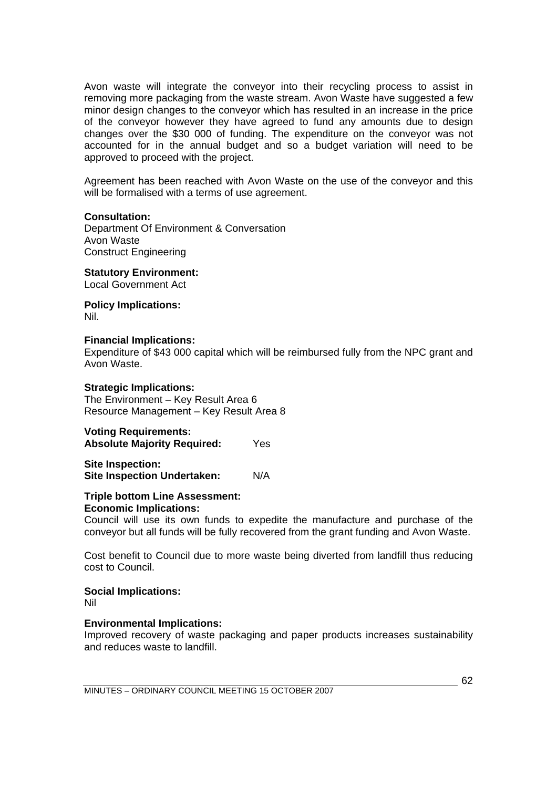Avon waste will integrate the conveyor into their recycling process to assist in removing more packaging from the waste stream. Avon Waste have suggested a few minor design changes to the conveyor which has resulted in an increase in the price of the conveyor however they have agreed to fund any amounts due to design changes over the \$30 000 of funding. The expenditure on the conveyor was not accounted for in the annual budget and so a budget variation will need to be approved to proceed with the project.

Agreement has been reached with Avon Waste on the use of the conveyor and this will be formalised with a terms of use agreement.

#### **Consultation:**

Department Of Environment & Conversation Avon Waste Construct Engineering

**Statutory Environment:**  Local Government Act

**Policy Implications:**  Nil.

#### **Financial Implications:**

Expenditure of \$43 000 capital which will be reimbursed fully from the NPC grant and Avon Waste.

#### **Strategic Implications:**

The Environment – Key Result Area 6 Resource Management – Key Result Area 8

**Voting Requirements: Absolute Majority Required:** Yes

**Site Inspection: Site Inspection Undertaken:** N/A

#### **Triple bottom Line Assessment: Economic Implications:**

Council will use its own funds to expedite the manufacture and purchase of the conveyor but all funds will be fully recovered from the grant funding and Avon Waste.

Cost benefit to Council due to more waste being diverted from landfill thus reducing cost to Council.

## **Social Implications:**

Nil

#### **Environmental Implications:**

Improved recovery of waste packaging and paper products increases sustainability and reduces waste to landfill.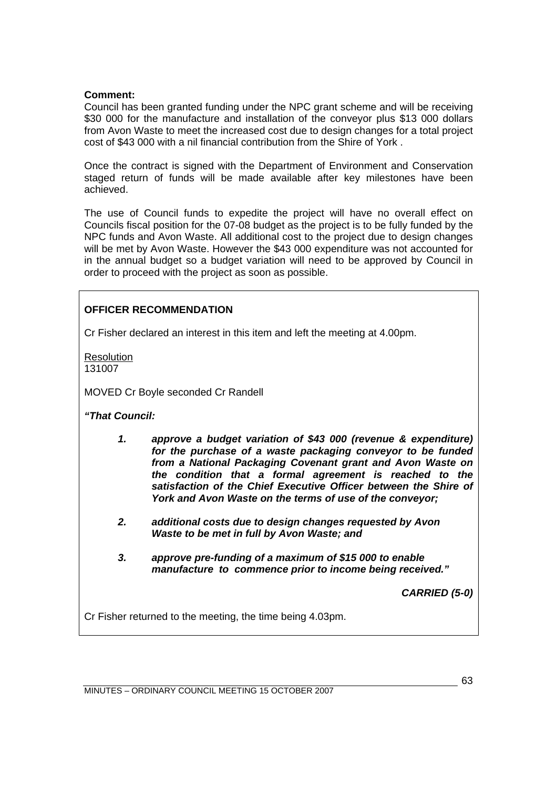## **Comment:**

Council has been granted funding under the NPC grant scheme and will be receiving \$30 000 for the manufacture and installation of the conveyor plus \$13 000 dollars from Avon Waste to meet the increased cost due to design changes for a total project cost of \$43 000 with a nil financial contribution from the Shire of York .

Once the contract is signed with the Department of Environment and Conservation staged return of funds will be made available after key milestones have been achieved.

The use of Council funds to expedite the project will have no overall effect on Councils fiscal position for the 07-08 budget as the project is to be fully funded by the NPC funds and Avon Waste. All additional cost to the project due to design changes will be met by Avon Waste. However the \$43 000 expenditure was not accounted for in the annual budget so a budget variation will need to be approved by Council in order to proceed with the project as soon as possible.

## **OFFICER RECOMMENDATION**

Cr Fisher declared an interest in this item and left the meeting at 4.00pm.

**Resolution** 131007

MOVED Cr Boyle seconded Cr Randell

*"That Council:* 

- *1. approve a budget variation of \$43 000 (revenue & expenditure) for the purchase of a waste packaging conveyor to be funded from a National Packaging Covenant grant and Avon Waste on the condition that a formal agreement is reached to the satisfaction of the Chief Executive Officer between the Shire of York and Avon Waste on the terms of use of the conveyor;*
- *2. additional costs due to design changes requested by Avon Waste to be met in full by Avon Waste; and*
- *3. approve pre-funding of a maximum of \$15 000 to enable manufacture to commence prior to income being received."*

*CARRIED (5-0)* 

Cr Fisher returned to the meeting, the time being 4.03pm.

MINUTES – ORDINARY COUNCIL MEETING 15 OCTOBER 2007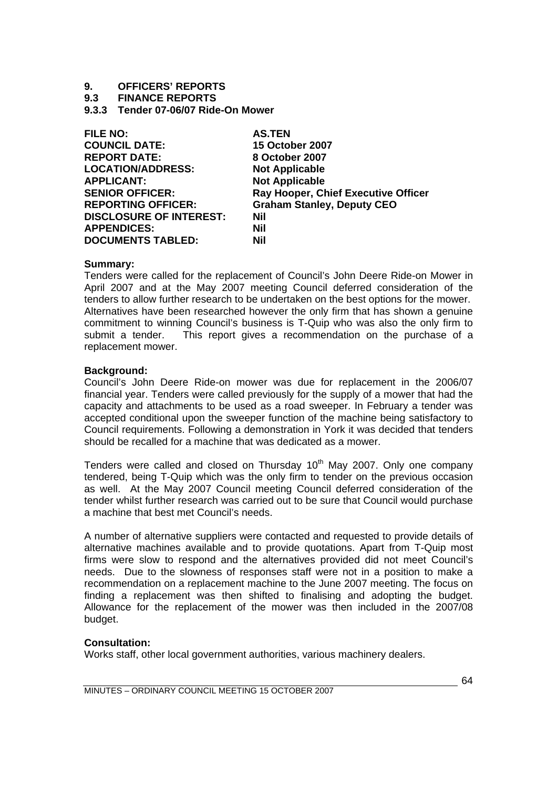# **9. OFFICERS' REPORTS**

## **9.3 FINANCE REPORTS**

**9.3.3 Tender 07-06/07 Ride-On Mower** 

| <b>FILE NO:</b>                | <b>AS.TEN</b>                       |
|--------------------------------|-------------------------------------|
| <b>COUNCIL DATE:</b>           | <b>15 October 2007</b>              |
| <b>REPORT DATE:</b>            | 8 October 2007                      |
| <b>LOCATION/ADDRESS:</b>       | <b>Not Applicable</b>               |
| <b>APPLICANT:</b>              | <b>Not Applicable</b>               |
| <b>SENIOR OFFICER:</b>         | Ray Hooper, Chief Executive Officer |
| <b>REPORTING OFFICER:</b>      | <b>Graham Stanley, Deputy CEO</b>   |
| <b>DISCLOSURE OF INTEREST:</b> | <b>Nil</b>                          |
| <b>APPENDICES:</b>             | Nil                                 |
| <b>DOCUMENTS TABLED:</b>       | Nil                                 |

#### **Summary:**

Tenders were called for the replacement of Council's John Deere Ride-on Mower in April 2007 and at the May 2007 meeting Council deferred consideration of the tenders to allow further research to be undertaken on the best options for the mower. Alternatives have been researched however the only firm that has shown a genuine commitment to winning Council's business is T-Quip who was also the only firm to submit a tender. This report gives a recommendation on the purchase of a replacement mower.

#### **Background:**

Council's John Deere Ride-on mower was due for replacement in the 2006/07 financial year. Tenders were called previously for the supply of a mower that had the capacity and attachments to be used as a road sweeper. In February a tender was accepted conditional upon the sweeper function of the machine being satisfactory to Council requirements. Following a demonstration in York it was decided that tenders should be recalled for a machine that was dedicated as a mower.

Tenders were called and closed on Thursday 10<sup>th</sup> May 2007. Only one company tendered, being T-Quip which was the only firm to tender on the previous occasion as well. At the May 2007 Council meeting Council deferred consideration of the tender whilst further research was carried out to be sure that Council would purchase a machine that best met Council's needs.

A number of alternative suppliers were contacted and requested to provide details of alternative machines available and to provide quotations. Apart from T-Quip most firms were slow to respond and the alternatives provided did not meet Council's needs. Due to the slowness of responses staff were not in a position to make a recommendation on a replacement machine to the June 2007 meeting. The focus on finding a replacement was then shifted to finalising and adopting the budget. Allowance for the replacement of the mower was then included in the 2007/08 budget.

## **Consultation:**

Works staff, other local government authorities, various machinery dealers.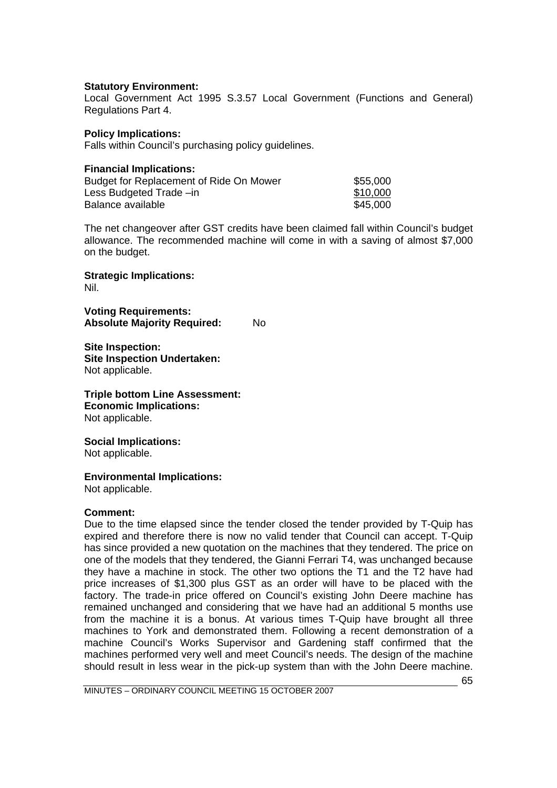## **Statutory Environment:**

Local Government Act 1995 S.3.57 Local Government (Functions and General) Regulations Part 4.

## **Policy Implications:**

Falls within Council's purchasing policy guidelines.

| <b>Financial Implications:</b>          |          |
|-----------------------------------------|----------|
| Budget for Replacement of Ride On Mower | \$55,000 |
| Less Budgeted Trade -in                 | \$10,000 |
| Balance available                       | \$45,000 |

The net changeover after GST credits have been claimed fall within Council's budget allowance. The recommended machine will come in with a saving of almost \$7,000 on the budget.

**Strategic Implications:**  Nil.

**Voting Requirements: Absolute Majority Required:** No

**Site Inspection: Site Inspection Undertaken:** Not applicable.

# **Triple bottom Line Assessment: Economic Implications:**

Not applicable.

## **Social Implications:**

Not applicable.

## **Environmental Implications:**

Not applicable.

## **Comment:**

Due to the time elapsed since the tender closed the tender provided by T-Quip has expired and therefore there is now no valid tender that Council can accept. T-Quip has since provided a new quotation on the machines that they tendered. The price on one of the models that they tendered, the Gianni Ferrari T4, was unchanged because they have a machine in stock. The other two options the T1 and the T2 have had price increases of \$1,300 plus GST as an order will have to be placed with the factory. The trade-in price offered on Council's existing John Deere machine has remained unchanged and considering that we have had an additional 5 months use from the machine it is a bonus. At various times T-Quip have brought all three machines to York and demonstrated them. Following a recent demonstration of a machine Council's Works Supervisor and Gardening staff confirmed that the machines performed very well and meet Council's needs. The design of the machine should result in less wear in the pick-up system than with the John Deere machine.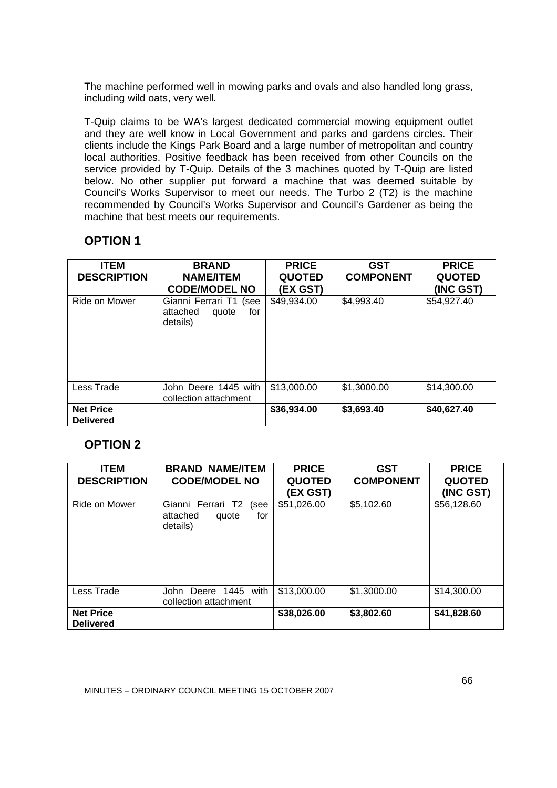The machine performed well in mowing parks and ovals and also handled long grass, including wild oats, very well.

T-Quip claims to be WA's largest dedicated commercial mowing equipment outlet and they are well know in Local Government and parks and gardens circles. Their clients include the Kings Park Board and a large number of metropolitan and country local authorities. Positive feedback has been received from other Councils on the service provided by T-Quip. Details of the 3 machines quoted by T-Quip are listed below. No other supplier put forward a machine that was deemed suitable by Council's Works Supervisor to meet our needs. The Turbo 2 (T2) is the machine recommended by Council's Works Supervisor and Council's Gardener as being the machine that best meets our requirements.

# **OPTION 1**

| <b>ITEM</b><br><b>DESCRIPTION</b>    | <b>BRAND</b><br><b>NAME/ITEM</b><br><b>CODE/MODEL NO</b>          | <b>PRICE</b><br><b>QUOTED</b><br>(EX GST) | GST<br><b>COMPONENT</b> | <b>PRICE</b><br><b>QUOTED</b><br>(INC GST) |
|--------------------------------------|-------------------------------------------------------------------|-------------------------------------------|-------------------------|--------------------------------------------|
| Ride on Mower                        | Gianni Ferrari T1<br>(see<br>attached<br>for<br>quote<br>details) | \$49,934.00                               | \$4,993.40              | \$54,927.40                                |
| Less Trade                           | John Deere 1445 with<br>collection attachment                     | \$13,000.00                               | \$1,3000.00             | \$14,300.00                                |
| <b>Net Price</b><br><b>Delivered</b> |                                                                   | \$36,934.00                               | \$3,693.40              | \$40,627.40                                |

# **OPTION 2**

| <b>ITEM</b><br><b>DESCRIPTION</b>    | <b>BRAND NAME/ITEM</b><br><b>CODE/MODEL NO</b>                    | <b>PRICE</b><br><b>QUOTED</b><br>(EX GST) | <b>GST</b><br><b>COMPONENT</b> | <b>PRICE</b><br><b>QUOTED</b><br>(INC GST) |
|--------------------------------------|-------------------------------------------------------------------|-------------------------------------------|--------------------------------|--------------------------------------------|
| Ride on Mower                        | Gianni Ferrari T2<br>(see<br>attached<br>for<br>quote<br>details) | \$51,026.00                               | \$5,102.60                     | \$56,128.60                                |
| Less Trade                           | Deere 1445 with<br>John<br>collection attachment                  | \$13,000.00                               | \$1,3000.00                    | \$14,300.00                                |
| <b>Net Price</b><br><b>Delivered</b> |                                                                   | \$38,026.00                               | \$3,802.60                     | \$41,828.60                                |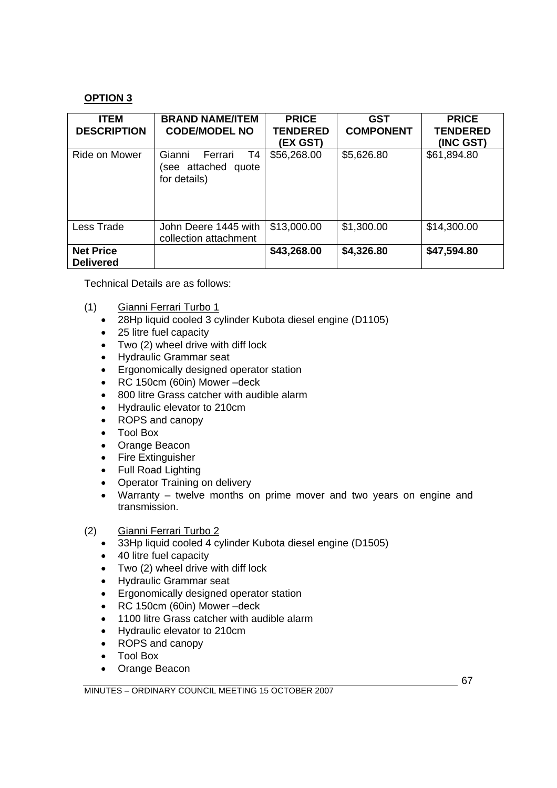## **OPTION 3**

| <b>ITEM</b><br><b>DESCRIPTION</b>    | <b>BRAND NAME/ITEM</b><br><b>CODE/MODEL NO</b>                 | <b>PRICE</b><br><b>TENDERED</b><br>(EX GST) | GST<br><b>COMPONENT</b> | <b>PRICE</b><br><b>TENDERED</b><br>(INC GST) |
|--------------------------------------|----------------------------------------------------------------|---------------------------------------------|-------------------------|----------------------------------------------|
| Ride on Mower                        | T4<br>Gianni<br>Ferrari<br>(see attached quote<br>for details) | \$56,268.00                                 | \$5,626.80              | \$61,894.80                                  |
| Less Trade                           | John Deere 1445 with<br>collection attachment                  | \$13,000.00                                 | \$1,300.00              | \$14,300.00                                  |
| <b>Net Price</b><br><b>Delivered</b> |                                                                | \$43,268.00                                 | \$4,326.80              | \$47,594.80                                  |

Technical Details are as follows:

- (1) Gianni Ferrari Turbo 1
	- 28Hp liquid cooled 3 cylinder Kubota diesel engine (D1105)
	- 25 litre fuel capacity
	- Two (2) wheel drive with diff lock
	- Hydraulic Grammar seat
	- Ergonomically designed operator station
	- RC 150cm (60in) Mower –deck
	- 800 litre Grass catcher with audible alarm
	- Hydraulic elevator to 210cm
	- ROPS and canopy
	- Tool Box
	- Orange Beacon
	- Fire Extinguisher
	- Full Road Lighting
	- Operator Training on delivery
	- Warranty twelve months on prime mover and two years on engine and transmission.
- (2) Gianni Ferrari Turbo 2
	- 33Hp liquid cooled 4 cylinder Kubota diesel engine (D1505)
	- 40 litre fuel capacity
	- Two (2) wheel drive with diff lock
	- Hydraulic Grammar seat
	- Ergonomically designed operator station
	- RC 150cm (60in) Mower –deck
	- 1100 litre Grass catcher with audible alarm
	- Hydraulic elevator to 210cm
	- ROPS and canopy
	- Tool Box
	- Orange Beacon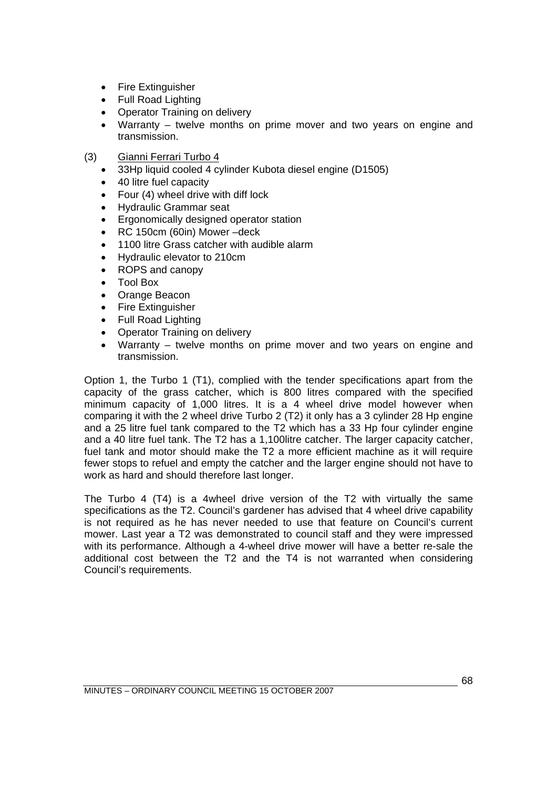- Fire Extinguisher
- Full Road Lighting
- Operator Training on delivery
- Warranty twelve months on prime mover and two years on engine and transmission.
- (3) Gianni Ferrari Turbo 4
	- 33Hp liquid cooled 4 cylinder Kubota diesel engine (D1505)
	- 40 litre fuel capacity
	- Four (4) wheel drive with diff lock
	- Hydraulic Grammar seat
	- Ergonomically designed operator station
	- RC 150cm (60in) Mower –deck
	- 1100 litre Grass catcher with audible alarm
	- Hydraulic elevator to 210cm
	- ROPS and canopy
	- Tool Box
	- Orange Beacon
	- Fire Extinguisher
	- Full Road Lighting
	- Operator Training on delivery
	- Warranty twelve months on prime mover and two years on engine and transmission.

Option 1, the Turbo 1 (T1), complied with the tender specifications apart from the capacity of the grass catcher, which is 800 litres compared with the specified minimum capacity of 1,000 litres. It is a 4 wheel drive model however when comparing it with the 2 wheel drive Turbo 2 (T2) it only has a 3 cylinder 28 Hp engine and a 25 litre fuel tank compared to the T2 which has a 33 Hp four cylinder engine and a 40 litre fuel tank. The T2 has a 1,100litre catcher. The larger capacity catcher, fuel tank and motor should make the T2 a more efficient machine as it will require fewer stops to refuel and empty the catcher and the larger engine should not have to work as hard and should therefore last longer.

The Turbo 4 (T4) is a 4wheel drive version of the T2 with virtually the same specifications as the T2. Council's gardener has advised that 4 wheel drive capability is not required as he has never needed to use that feature on Council's current mower. Last year a T2 was demonstrated to council staff and they were impressed with its performance. Although a 4-wheel drive mower will have a better re-sale the additional cost between the T2 and the T4 is not warranted when considering Council's requirements.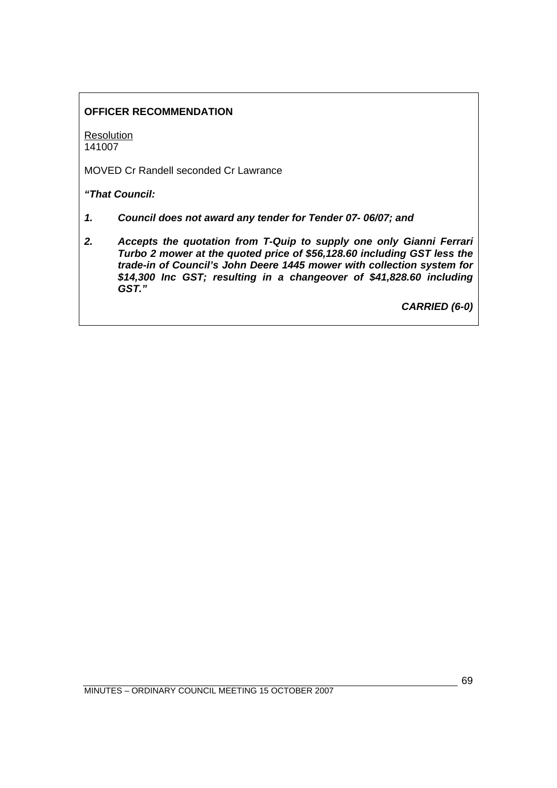# **OFFICER RECOMMENDATION**

**Resolution** 141007

MOVED Cr Randell seconded Cr Lawrance

*"That Council:* 

- *1. Council does not award any tender for Tender 07- 06/07; and*
- *2. Accepts the quotation from T-Quip to supply one only Gianni Ferrari Turbo 2 mower at the quoted price of \$56,128.60 including GST less the trade-in of Council's John Deere 1445 mower with collection system for \$14,300 Inc GST; resulting in a changeover of \$41,828.60 including GST."*

*CARRIED (6-0)*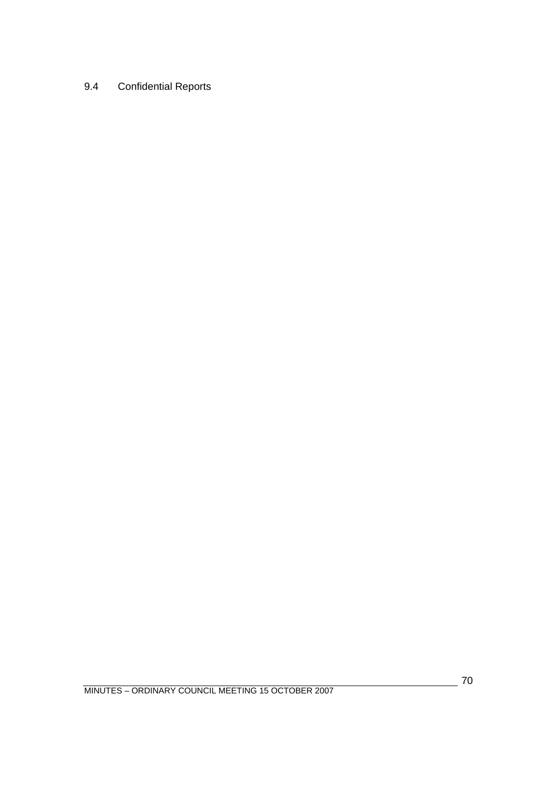# 9.4 Confidential Reports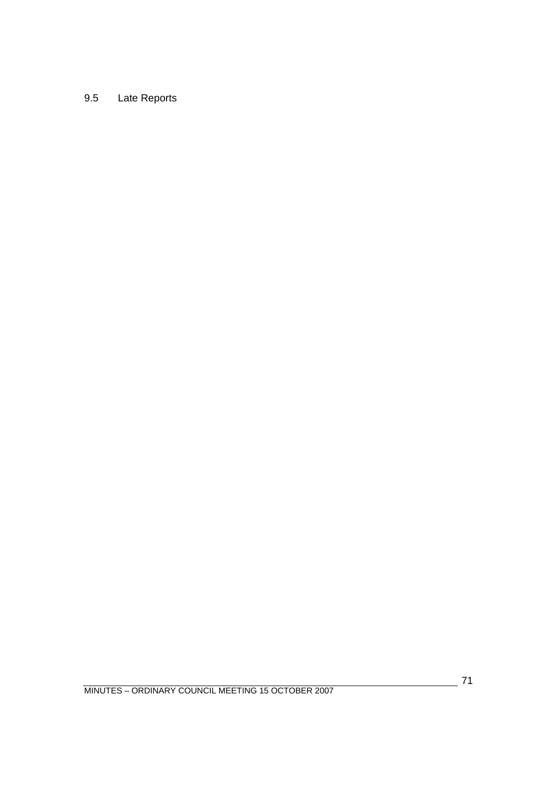# 9.5 Late Reports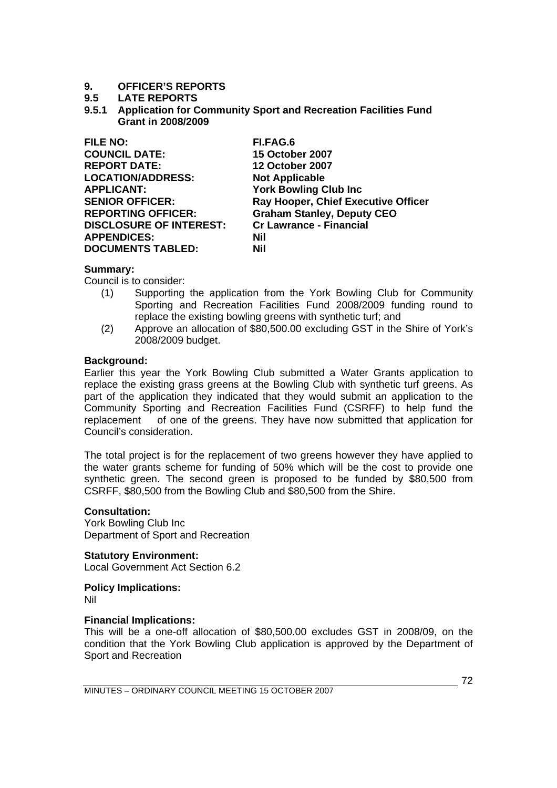# **9. OFFICER'S REPORTS**

## **9.5 LATE REPORTS**

**9.5.1 Application for Community Sport and Recreation Facilities Fund Grant in 2008/2009** 

| <b>FILE NO:</b>                | FI.FAG.6                            |
|--------------------------------|-------------------------------------|
| <b>COUNCIL DATE:</b>           | <b>15 October 2007</b>              |
| <b>REPORT DATE:</b>            | <b>12 October 2007</b>              |
| <b>LOCATION/ADDRESS:</b>       | <b>Not Applicable</b>               |
| <b>APPLICANT:</b>              | <b>York Bowling Club Inc.</b>       |
| <b>SENIOR OFFICER:</b>         | Ray Hooper, Chief Executive Officer |
| <b>REPORTING OFFICER:</b>      | <b>Graham Stanley, Deputy CEO</b>   |
| <b>DISCLOSURE OF INTEREST:</b> | <b>Cr Lawrance - Financial</b>      |
| <b>APPENDICES:</b>             | Nil                                 |
| <b>DOCUMENTS TABLED:</b>       | Nil                                 |

## **Summary:**

Council is to consider:

- (1) Supporting the application from the York Bowling Club for Community Sporting and Recreation Facilities Fund 2008/2009 funding round to replace the existing bowling greens with synthetic turf; and
- (2) Approve an allocation of \$80,500.00 excluding GST in the Shire of York's 2008/2009 budget.

## **Background:**

Earlier this year the York Bowling Club submitted a Water Grants application to replace the existing grass greens at the Bowling Club with synthetic turf greens. As part of the application they indicated that they would submit an application to the Community Sporting and Recreation Facilities Fund (CSRFF) to help fund the replacement of one of the greens. They have now submitted that application for Council's consideration.

The total project is for the replacement of two greens however they have applied to the water grants scheme for funding of 50% which will be the cost to provide one synthetic green. The second green is proposed to be funded by \$80,500 from CSRFF, \$80,500 from the Bowling Club and \$80,500 from the Shire.

## **Consultation:**

York Bowling Club Inc Department of Sport and Recreation

**Statutory Environment:** 

Local Government Act Section 6.2

**Policy Implications:** 

Nil

## **Financial Implications:**

This will be a one-off allocation of \$80,500.00 excludes GST in 2008/09, on the condition that the York Bowling Club application is approved by the Department of Sport and Recreation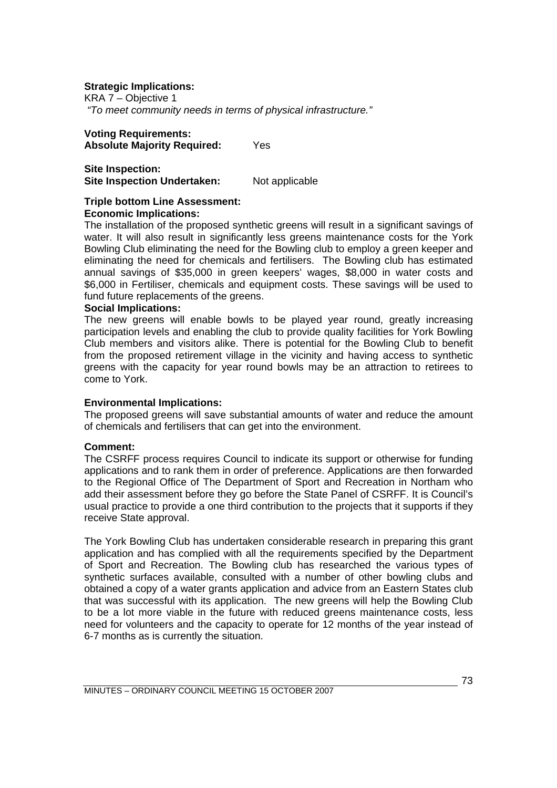### **Strategic Implications:**

KRA 7 – Objective 1  *"To meet community needs in terms of physical infrastructure."* 

### **Voting Requirements: Absolute Majority Required:** Yes

**Site Inspection: Site Inspection Undertaken:** Not applicable

### **Triple bottom Line Assessment: Economic Implications:**

The installation of the proposed synthetic greens will result in a significant savings of water. It will also result in significantly less greens maintenance costs for the York Bowling Club eliminating the need for the Bowling club to employ a green keeper and eliminating the need for chemicals and fertilisers. The Bowling club has estimated annual savings of \$35,000 in green keepers' wages, \$8,000 in water costs and \$6,000 in Fertiliser, chemicals and equipment costs. These savings will be used to fund future replacements of the greens.

#### **Social Implications:**

The new greens will enable bowls to be played year round, greatly increasing participation levels and enabling the club to provide quality facilities for York Bowling Club members and visitors alike. There is potential for the Bowling Club to benefit from the proposed retirement village in the vicinity and having access to synthetic greens with the capacity for year round bowls may be an attraction to retirees to come to York.

#### **Environmental Implications:**

The proposed greens will save substantial amounts of water and reduce the amount of chemicals and fertilisers that can get into the environment.

#### **Comment:**

The CSRFF process requires Council to indicate its support or otherwise for funding applications and to rank them in order of preference. Applications are then forwarded to the Regional Office of The Department of Sport and Recreation in Northam who add their assessment before they go before the State Panel of CSRFF. It is Council's usual practice to provide a one third contribution to the projects that it supports if they receive State approval.

The York Bowling Club has undertaken considerable research in preparing this grant application and has complied with all the requirements specified by the Department of Sport and Recreation. The Bowling club has researched the various types of synthetic surfaces available, consulted with a number of other bowling clubs and obtained a copy of a water grants application and advice from an Eastern States club that was successful with its application. The new greens will help the Bowling Club to be a lot more viable in the future with reduced greens maintenance costs, less need for volunteers and the capacity to operate for 12 months of the year instead of 6-7 months as is currently the situation.

73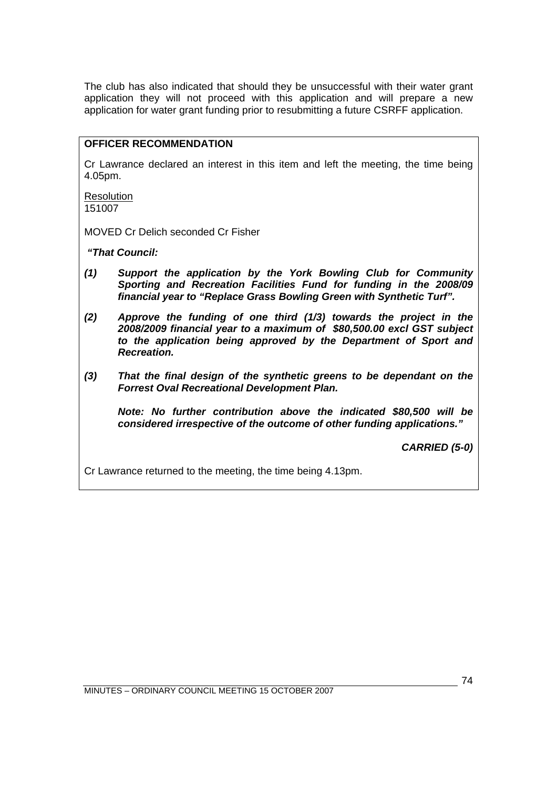The club has also indicated that should they be unsuccessful with their water grant application they will not proceed with this application and will prepare a new application for water grant funding prior to resubmitting a future CSRFF application.

## **OFFICER RECOMMENDATION**

Cr Lawrance declared an interest in this item and left the meeting, the time being 4.05pm.

**Resolution** 151007

MOVED Cr Delich seconded Cr Fisher

 *"That Council:* 

- *(1) Support the application by the York Bowling Club for Community Sporting and Recreation Facilities Fund for funding in the 2008/09 financial year to "Replace Grass Bowling Green with Synthetic Turf".*
- *(2) Approve the funding of one third (1/3) towards the project in the 2008/2009 financial year to a maximum of \$80,500.00 excl GST subject to the application being approved by the Department of Sport and Recreation.*
- *(3) That the final design of the synthetic greens to be dependant on the Forrest Oval Recreational Development Plan.*

 *Note: No further contribution above the indicated \$80,500 will be considered irrespective of the outcome of other funding applications."* 

*CARRIED (5-0)* 

Cr Lawrance returned to the meeting, the time being 4.13pm.